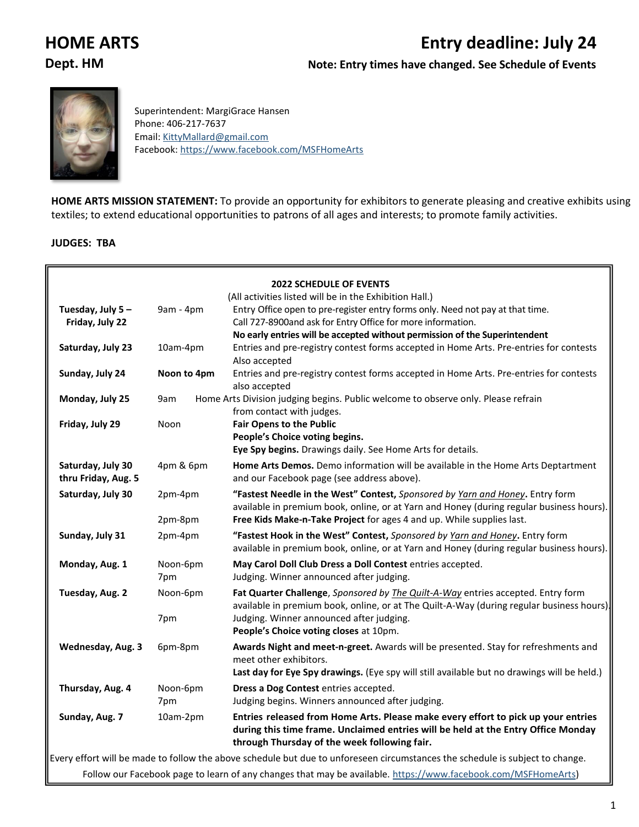# **HOME ARTS Entry deadline: July 24**

**Dept. HM Note: Entry times have changed. See Schedule of Events**



Superintendent: MargiGrace Hansen Phone: 406-217-7637 Email: [KittyMallard@gmail.com](mailto:KittyMallard@gmail.com) Facebook:<https://www.facebook.com/MSFHomeArts>

**HOME ARTS MISSION STATEMENT:** To provide an opportunity for exhibitors to generate pleasing and creative exhibits using textiles; to extend educational opportunities to patrons of all ages and interests; to promote family activities.

#### **JUDGES: TBA**

|                                          |                 | <b>2022 SCHEDULE OF EVENTS</b>                                                                                                                                                                                         |
|------------------------------------------|-----------------|------------------------------------------------------------------------------------------------------------------------------------------------------------------------------------------------------------------------|
|                                          |                 | (All activities listed will be in the Exhibition Hall.)                                                                                                                                                                |
| Tuesday, July 5-                         | 9am - 4pm       | Entry Office open to pre-register entry forms only. Need not pay at that time.                                                                                                                                         |
| Friday, July 22                          |                 | Call 727-8900and ask for Entry Office for more information.                                                                                                                                                            |
|                                          |                 | No early entries will be accepted without permission of the Superintendent                                                                                                                                             |
| Saturday, July 23                        | 10am-4pm        | Entries and pre-registry contest forms accepted in Home Arts. Pre-entries for contests<br>Also accepted                                                                                                                |
| Sunday, July 24                          | Noon to 4pm     | Entries and pre-registry contest forms accepted in Home Arts. Pre-entries for contests<br>also accepted                                                                                                                |
| Monday, July 25                          | 9am             | Home Arts Division judging begins. Public welcome to observe only. Please refrain<br>from contact with judges.                                                                                                         |
| Friday, July 29                          | Noon            | <b>Fair Opens to the Public</b>                                                                                                                                                                                        |
|                                          |                 | People's Choice voting begins.                                                                                                                                                                                         |
|                                          |                 | Eye Spy begins. Drawings daily. See Home Arts for details.                                                                                                                                                             |
| Saturday, July 30<br>thru Friday, Aug. 5 | 4pm & 6pm       | Home Arts Demos. Demo information will be available in the Home Arts Deptartment<br>and our Facebook page (see address above).                                                                                         |
| Saturday, July 30                        | 2pm-4pm         | "Fastest Needle in the West" Contest, Sponsored by Yarn and Honey. Entry form<br>available in premium book, online, or at Yarn and Honey (during regular business hours).                                              |
|                                          | 2pm-8pm         | Free Kids Make-n-Take Project for ages 4 and up. While supplies last.                                                                                                                                                  |
| Sunday, July 31                          | 2pm-4pm         | "Fastest Hook in the West" Contest, Sponsored by Yarn and Honey. Entry form<br>available in premium book, online, or at Yarn and Honey (during regular business hours).                                                |
| Monday, Aug. 1                           | Noon-6pm        | May Carol Doll Club Dress a Doll Contest entries accepted.                                                                                                                                                             |
|                                          | 7pm             | Judging. Winner announced after judging.                                                                                                                                                                               |
| Tuesday, Aug. 2                          | Noon-6pm        | Fat Quarter Challenge, Sponsored by The Quilt-A-Way entries accepted. Entry form<br>available in premium book, online, or at The Quilt-A-Way (during regular business hours).                                          |
|                                          | 7pm             | Judging. Winner announced after judging.<br>People's Choice voting closes at 10pm.                                                                                                                                     |
| Wednesday, Aug. 3                        | 6pm-8pm         | Awards Night and meet-n-greet. Awards will be presented. Stay for refreshments and<br>meet other exhibitors.                                                                                                           |
|                                          |                 | Last day for Eye Spy drawings. (Eye spy will still available but no drawings will be held.)                                                                                                                            |
| Thursday, Aug. 4                         | Noon-6pm<br>7pm | Dress a Dog Contest entries accepted.<br>Judging begins. Winners announced after judging.                                                                                                                              |
|                                          |                 |                                                                                                                                                                                                                        |
| Sunday, Aug. 7                           | 10am-2pm        | Entries released from Home Arts. Please make every effort to pick up your entries<br>during this time frame. Unclaimed entries will be held at the Entry Office Monday<br>through Thursday of the week following fair. |
|                                          |                 | Every effort will be made to follow the above schedule but due to unforeseen circumstances the schedule is subject to change.                                                                                          |
|                                          |                 | Follow our Facebook page to learn of any changes that may be available. https://www.facebook.com/MSFHomeArts)                                                                                                          |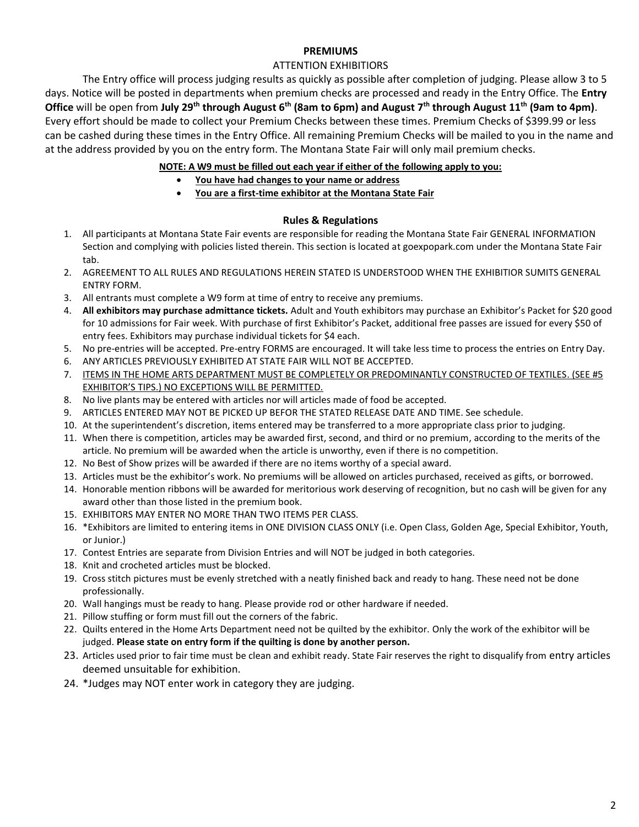#### **PREMIUMS**

#### ATTENTION EXHIBITIORS

The Entry office will process judging results as quickly as possible after completion of judging. Please allow 3 to 5 days. Notice will be posted in departments when premium checks are processed and ready in the Entry Office. The **Entry Office** will be open from **July 29th through August 6th (8am to 6pm) and August 7th through August 11th (9am to 4pm)**. Every effort should be made to collect your Premium Checks between these times. Premium Checks of \$399.99 or less can be cashed during these times in the Entry Office. All remaining Premium Checks will be mailed to you in the name and at the address provided by you on the entry form. The Montana State Fair will only mail premium checks.

#### **NOTE: A W9 must be filled out each year if either of the following apply to you:**

- **You have had changes to your name or address**
- **You are a first-time exhibitor at the Montana State Fair**

#### **Rules & Regulations**

- 1. All participants at Montana State Fair events are responsible for reading the Montana State Fair GENERAL INFORMATION Section and complying with policies listed therein. This section is located at goexpopark.com under the Montana State Fair tab.
- 2. AGREEMENT TO ALL RULES AND REGULATIONS HEREIN STATED IS UNDERSTOOD WHEN THE EXHIBITIOR SUMITS GENERAL ENTRY FORM.
- 3. All entrants must complete a W9 form at time of entry to receive any premiums.
- 4. **All exhibitors may purchase admittance tickets.** Adult and Youth exhibitors may purchase an Exhibitor's Packet for \$20 good for 10 admissions for Fair week. With purchase of first Exhibitor's Packet, additional free passes are issued for every \$50 of entry fees. Exhibitors may purchase individual tickets for \$4 each.
- 5. No pre-entries will be accepted. Pre-entry FORMS are encouraged. It will take less time to process the entries on Entry Day.
- 6. ANY ARTICLES PREVIOUSLY EXHIBITED AT STATE FAIR WILL NOT BE ACCEPTED.
- 7. ITEMS IN THE HOME ARTS DEPARTMENT MUST BE COMPLETELY OR PREDOMINANTLY CONSTRUCTED OF TEXTILES. (SEE #5 EXHIBITOR'S TIPS.) NO EXCEPTIONS WILL BE PERMITTED.
- 8. No live plants may be entered with articles nor will articles made of food be accepted.
- 9. ARTICLES ENTERED MAY NOT BE PICKED UP BEFOR THE STATED RELEASE DATE AND TIME. See schedule.
- 10. At the superintendent's discretion, items entered may be transferred to a more appropriate class prior to judging.
- 11. When there is competition, articles may be awarded first, second, and third or no premium, according to the merits of the article. No premium will be awarded when the article is unworthy, even if there is no competition.
- 12. No Best of Show prizes will be awarded if there are no items worthy of a special award.
- 13. Articles must be the exhibitor's work. No premiums will be allowed on articles purchased, received as gifts, or borrowed.
- 14. Honorable mention ribbons will be awarded for meritorious work deserving of recognition, but no cash will be given for any award other than those listed in the premium book.
- 15. EXHIBITORS MAY ENTER NO MORE THAN TWO ITEMS PER CLASS.
- 16. \*Exhibitors are limited to entering items in ONE DIVISION CLASS ONLY (i.e. Open Class, Golden Age, Special Exhibitor, Youth, or Junior.)
- 17. Contest Entries are separate from Division Entries and will NOT be judged in both categories.
- 18. Knit and crocheted articles must be blocked.
- 19. Cross stitch pictures must be evenly stretched with a neatly finished back and ready to hang. These need not be done professionally.
- 20. Wall hangings must be ready to hang. Please provide rod or other hardware if needed.
- 21. Pillow stuffing or form must fill out the corners of the fabric.
- 22. Quilts entered in the Home Arts Department need not be quilted by the exhibitor. Only the work of the exhibitor will be judged. **Please state on entry form if the quilting is done by another person.**
- 23. Articles used prior to fair time must be clean and exhibit ready. State Fair reserves the right to disqualify from entry articles deemed unsuitable for exhibition.
- 24. \*Judges may NOT enter work in category they are judging.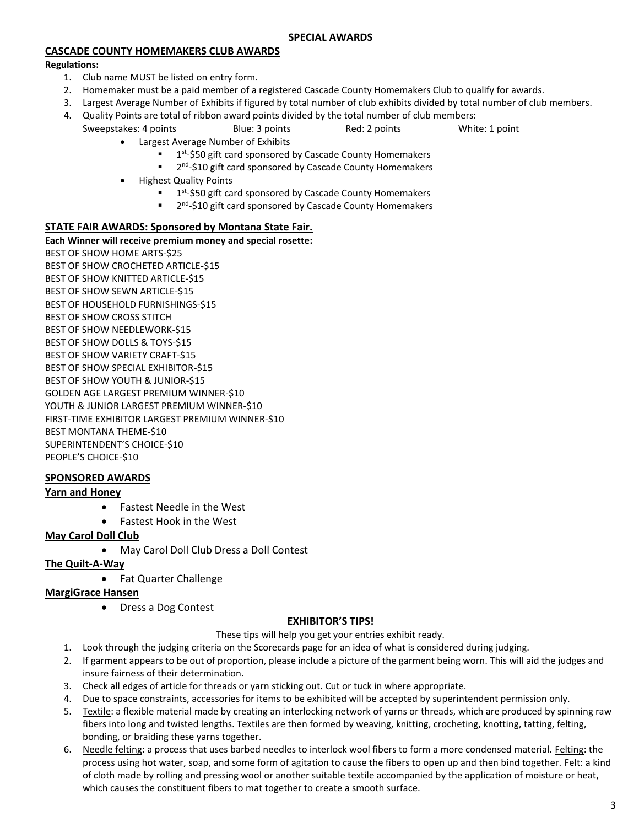#### **CASCADE COUNTY HOMEMAKERS CLUB AWARDS**

#### **Regulations:**

- 1. Club name MUST be listed on entry form.
- 2. Homemaker must be a paid member of a registered Cascade County Homemakers Club to qualify for awards.
- 3. Largest Average Number of Exhibits if figured by total number of club exhibits divided by total number of club members.
- 4. Quality Points are total of ribbon award points divided by the total number of club members: Sweepstakes: 4 points and Blue: 3 points and Red: 2 points and White: 1 point
	- Largest Average Number of Exhibits
		- **1**<sup>st</sup>-\$50 gift card sponsored by Cascade County Homemakers
		- 2<sup>nd</sup>-\$10 gift card sponsored by Cascade County Homemakers
	- Highest Quality Points
		- $\blacksquare$  1<sup>st</sup>-\$50 gift card sponsored by Cascade County Homemakers
		- 2<sup>nd</sup>-\$10 gift card sponsored by Cascade County Homemakers

#### **STATE FAIR AWARDS: Sponsored by Montana State Fair.**

#### **Each Winner will receive premium money and special rosette:**

BEST OF SHOW HOME ARTS-\$25 BEST OF SHOW CROCHETED ARTICLE-\$15 BEST OF SHOW KNITTED ARTICLE-\$15 BEST OF SHOW SEWN ARTICLE-\$15 BEST OF HOUSEHOLD FURNISHINGS-\$15 BEST OF SHOW CROSS STITCH BEST OF SHOW NEEDLEWORK-\$15 BEST OF SHOW DOLLS & TOYS-\$15 BEST OF SHOW VARIETY CRAFT-\$15 BEST OF SHOW SPECIAL EXHIBITOR-\$15 BEST OF SHOW YOUTH & JUNIOR-\$15 GOLDEN AGE LARGEST PREMIUM WINNER-\$10 YOUTH & JUNIOR LARGEST PREMIUM WINNER-\$10 FIRST-TIME EXHIBITOR LARGEST PREMIUM WINNER-\$10 BEST MONTANA THEME-\$10 SUPERINTENDENT'S CHOICE-\$10 PEOPLE'S CHOICE-\$10

#### **SPONSORED AWARDS**

#### **Yarn and Honey**

- Fastest Needle in the West
- Fastest Hook in the West

#### **May Carol Doll Club**

#### May Carol Doll Club Dress a Doll Contest

#### **The Quilt-A-Way**

• Fat Quarter Challenge

#### **MargiGrace Hansen**

Dress a Dog Contest

#### **EXHIBITOR'S TIPS!**

- These tips will help you get your entries exhibit ready.
- 1. Look through the judging criteria on the Scorecards page for an idea of what is considered during judging.
- 2. If garment appears to be out of proportion, please include a picture of the garment being worn. This will aid the judges and insure fairness of their determination.
- 3. Check all edges of article for threads or yarn sticking out. Cut or tuck in where appropriate.
- 4. Due to space constraints, accessories for items to be exhibited will be accepted by superintendent permission only.
- 5. Textile: a flexible material made by creating an interlocking network of yarns or threads, which are produced by spinning raw fibers into long and twisted lengths. Textiles are then formed by weaving, knitting, crocheting, knotting, tatting, felting, bonding, or braiding these yarns together.
- 6. Needle felting: a process that uses barbed needles to interlock wool fibers to form a more condensed material. Felting: the process using hot water, soap, and some form of agitation to cause the fibers to open up and then bind together. Felt: a kind of cloth made by rolling and pressing wool or another suitable textile accompanied by the application of moisture or heat, which causes the constituent fibers to mat together to create a smooth surface.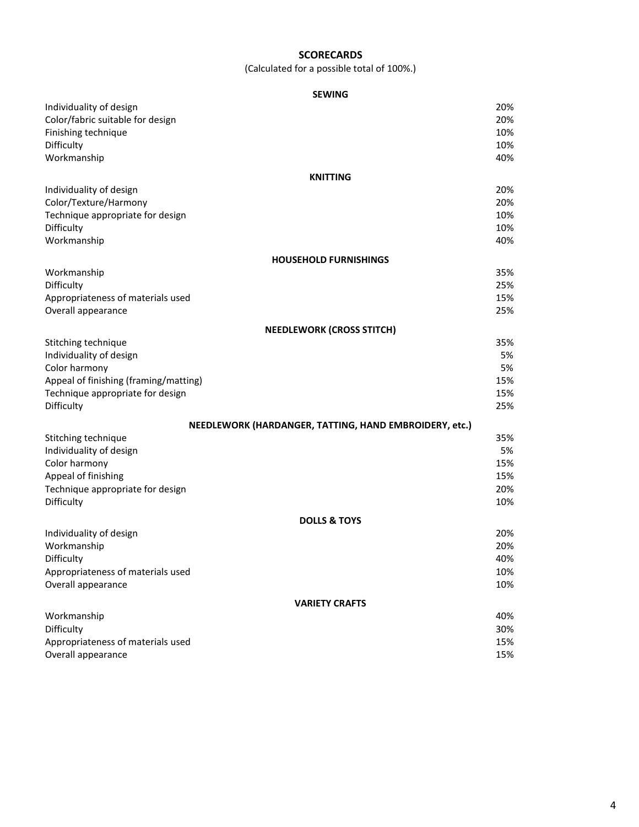#### **SCORECARDS**

(Calculated for a possible total of 100%.)

|                                       | <b>SEWING</b>                                          |
|---------------------------------------|--------------------------------------------------------|
| Individuality of design               | 20%                                                    |
| Color/fabric suitable for design      | 20%                                                    |
| Finishing technique                   | 10%                                                    |
| Difficulty                            | 10%                                                    |
| Workmanship                           | 40%                                                    |
|                                       |                                                        |
|                                       | <b>KNITTING</b>                                        |
| Individuality of design               | 20%<br>20%                                             |
| Color/Texture/Harmony                 |                                                        |
| Technique appropriate for design      | 10%                                                    |
| Difficulty                            | 10%                                                    |
| Workmanship                           | 40%                                                    |
|                                       | <b>HOUSEHOLD FURNISHINGS</b>                           |
| Workmanship                           | 35%                                                    |
| Difficulty                            | 25%                                                    |
| Appropriateness of materials used     | 15%                                                    |
| Overall appearance                    | 25%                                                    |
|                                       | <b>NEEDLEWORK (CROSS STITCH)</b>                       |
| Stitching technique                   | 35%                                                    |
| Individuality of design               | 5%                                                     |
| Color harmony                         | 5%                                                     |
| Appeal of finishing (framing/matting) | 15%                                                    |
| Technique appropriate for design      | 15%                                                    |
| Difficulty                            | 25%                                                    |
|                                       |                                                        |
|                                       | NEEDLEWORK (HARDANGER, TATTING, HAND EMBROIDERY, etc.) |
| Stitching technique                   | 35%                                                    |
| Individuality of design               | 5%                                                     |
| Color harmony                         | 15%                                                    |
| Appeal of finishing                   | 15%                                                    |
| Technique appropriate for design      | 20%                                                    |
| Difficulty                            | 10%                                                    |
|                                       | <b>DOLLS &amp; TOYS</b>                                |
| Individuality of design               | 20%                                                    |
| Workmanship                           | 20%                                                    |
| Difficulty                            | 40%                                                    |
| Appropriateness of materials used     | 10%                                                    |
| Overall appearance                    | 10%                                                    |
|                                       |                                                        |
|                                       | <b>VARIETY CRAFTS</b>                                  |
| Workmanship                           | 40%                                                    |
| Difficulty                            | 30%                                                    |
| Appropriateness of materials used     | 15%                                                    |
| Overall appearance                    | 15%                                                    |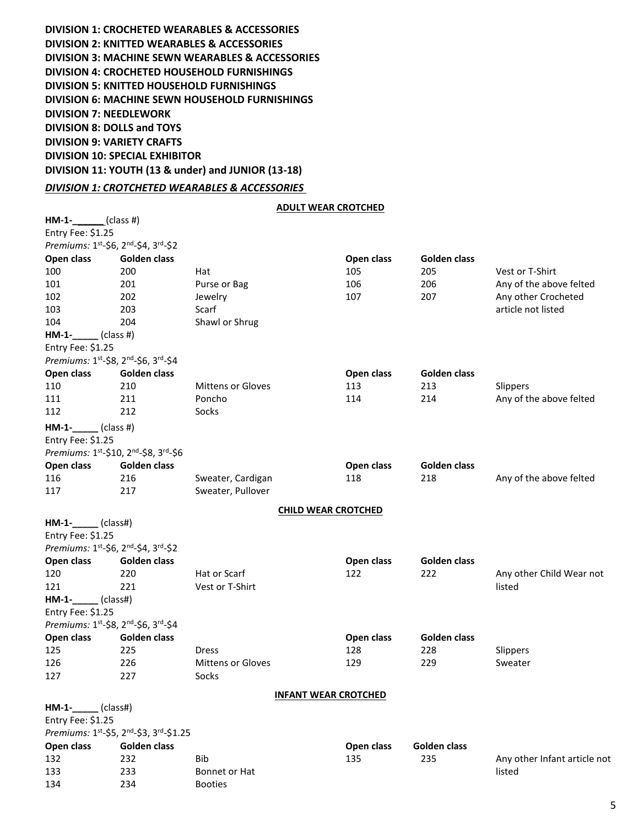**DIVISION 1: CROCHETED WEARABLES & ACCESSORIES DIVISION 2: KNITTED WEARABLES & ACCESSORIES DIVISION 3: MACHINE SEWN WEARABLES & ACCESSORIES DIVISION 4: CROCHETED HOUSEHOLD FURNISHINGS DIVISION 5: KNITTED HOUSEHOLD FURNISHINGS DIVISION 6: MACHINE SEWN HOUSEHOLD FURNISHINGS DIVISION 7: NEEDLEWORK DIVISION 8: DOLLS and TOYS DIVISION 9: VARIETY CRAFTS DIVISION 10: SPECIAL EXHIBITOR DIVISION 11: YOUTH (13 & under) and JUNIOR (13-18)**

#### *DIVISION 1: CROTCHETED WEARABLES & ACCESSORIES*

#### **ADULT WEAR CROTCHED**

| $HM-1-$ (class #)                     |                                        |                          |                             |                     |                              |
|---------------------------------------|----------------------------------------|--------------------------|-----------------------------|---------------------|------------------------------|
| Entry Fee: \$1.25                     |                                        |                          |                             |                     |                              |
|                                       | Premiums: 1st-\$6, 2nd-\$4, 3rd-\$2    |                          |                             |                     |                              |
| Open class                            | Golden class                           |                          | Open class                  | Golden class        |                              |
| 100                                   | 200                                    | Hat                      | 105                         | 205                 | Vest or T-Shirt              |
| 101                                   | 201                                    | Purse or Bag             | 106                         | 206                 | Any of the above felted      |
| 102                                   | 202                                    | Jewelry                  | 107                         | 207                 | Any other Crocheted          |
| 103                                   | 203                                    | Scarf                    |                             |                     | article not listed           |
| 104                                   | 204                                    | Shawl or Shrug           |                             |                     |                              |
| $HM-1-$ (class #)                     |                                        |                          |                             |                     |                              |
| Entry Fee: \$1.25                     |                                        |                          |                             |                     |                              |
|                                       | Premiums: 1st-\$8, 2nd-\$6, 3rd-\$4    |                          |                             |                     |                              |
| Open class                            | Golden class                           |                          | Open class                  | Golden class        |                              |
| 110                                   | 210                                    | <b>Mittens or Gloves</b> | 113                         | 213                 | Slippers                     |
| 111                                   | 211                                    | Poncho                   | 114                         | 214                 | Any of the above felted      |
| 112                                   | 212                                    | Socks                    |                             |                     |                              |
| $HM-1-$ (class #)                     |                                        |                          |                             |                     |                              |
| Entry Fee: \$1.25                     |                                        |                          |                             |                     |                              |
|                                       | Premiums: 1st-\$10, 2nd-\$8, 3rd-\$6   |                          |                             |                     |                              |
| Open class                            | Golden class                           |                          | Open class                  | <b>Golden class</b> |                              |
| 116                                   | 216                                    | Sweater, Cardigan        | 118                         | 218                 | Any of the above felted      |
| 117                                   | 217                                    | Sweater, Pullover        |                             |                     |                              |
|                                       |                                        |                          |                             |                     |                              |
|                                       |                                        |                          | <b>CHILD WEAR CROTCHED</b>  |                     |                              |
| $HM-1-$ (class#)<br>Entry Fee: \$1.25 |                                        |                          |                             |                     |                              |
|                                       | Premiums: 1st-\$6, 2nd-\$4, 3rd-\$2    |                          |                             |                     |                              |
| Open class                            | Golden class                           |                          | Open class                  | <b>Golden class</b> |                              |
| 120                                   | 220                                    | Hat or Scarf             | 122                         | 222                 | Any other Child Wear not     |
| 121                                   | 221                                    | Vest or T-Shirt          |                             |                     | listed                       |
| $HM-1-$ (class#)                      |                                        |                          |                             |                     |                              |
| Entry Fee: \$1.25                     |                                        |                          |                             |                     |                              |
|                                       | Premiums: 1st-\$8, 2nd-\$6, 3rd-\$4    |                          |                             |                     |                              |
| Open class                            | Golden class                           |                          | Open class                  | Golden class        |                              |
| 125                                   | 225                                    | <b>Dress</b>             | 128                         | 228                 | Slippers                     |
| 126                                   | 226                                    | <b>Mittens or Gloves</b> | 129                         | 229                 | Sweater                      |
| 127                                   | 227                                    | Socks                    |                             |                     |                              |
|                                       |                                        |                          |                             |                     |                              |
|                                       |                                        |                          | <b>INFANT WEAR CROTCHED</b> |                     |                              |
| $HM-1-$ (class#)                      |                                        |                          |                             |                     |                              |
| Entry Fee: \$1.25                     |                                        |                          |                             |                     |                              |
|                                       | Premiums: 1st-\$5, 2nd-\$3, 3rd-\$1.25 |                          |                             |                     |                              |
| Open class                            | <b>Golden class</b>                    |                          | Open class                  | Golden class        |                              |
| 132                                   | 232                                    | Bib                      | 135                         | 235                 | Any other Infant article not |
| 133                                   | 233                                    | Bonnet or Hat            |                             |                     | listed                       |

134 234 Booties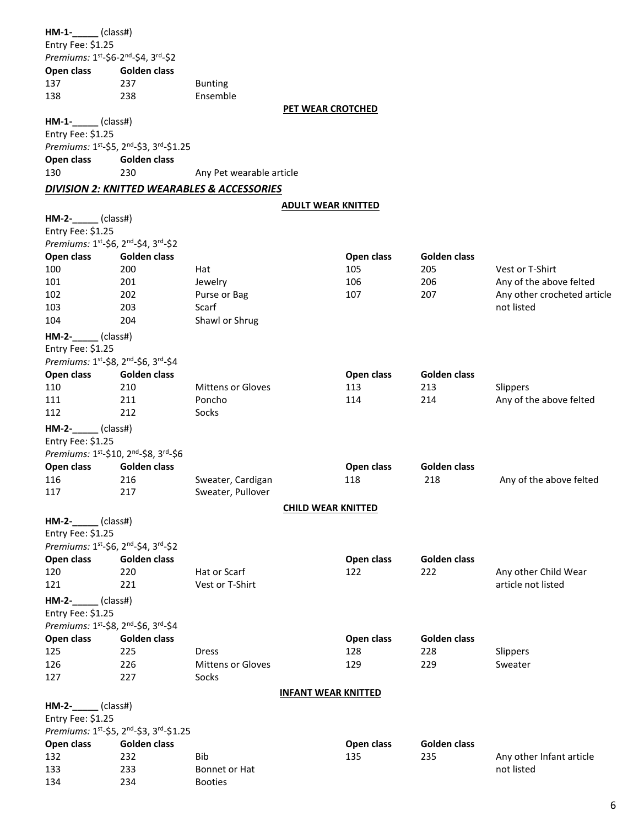| $HM-1$ -______(class#)               |                                        |                                                        |                            |            |                     |                             |
|--------------------------------------|----------------------------------------|--------------------------------------------------------|----------------------------|------------|---------------------|-----------------------------|
| Entry Fee: \$1.25                    |                                        |                                                        |                            |            |                     |                             |
| Premiums: 1st-\$6-2nd-\$4, 3rd-\$2   |                                        |                                                        |                            |            |                     |                             |
| Open class                           | Golden class                           |                                                        |                            |            |                     |                             |
| 137                                  | 237                                    | <b>Bunting</b>                                         |                            |            |                     |                             |
| 138                                  | 238                                    | Ensemble                                               |                            |            |                     |                             |
|                                      |                                        |                                                        | PET WEAR CROTCHED          |            |                     |                             |
| $HM-1-$ (class#)                     |                                        |                                                        |                            |            |                     |                             |
|                                      |                                        |                                                        |                            |            |                     |                             |
| Entry Fee: \$1.25                    |                                        |                                                        |                            |            |                     |                             |
|                                      | Premiums: 1st-\$5, 2nd-\$3, 3rd-\$1.25 |                                                        |                            |            |                     |                             |
| Open class                           | <b>Golden class</b>                    |                                                        |                            |            |                     |                             |
| 130                                  | 230                                    | Any Pet wearable article                               |                            |            |                     |                             |
|                                      |                                        | <b>DIVISION 2: KNITTED WEARABLES &amp; ACCESSORIES</b> |                            |            |                     |                             |
|                                      |                                        |                                                        |                            |            |                     |                             |
|                                      |                                        |                                                        | <b>ADULT WEAR KNITTED</b>  |            |                     |                             |
| $HM-2$ -_____(class#)                |                                        |                                                        |                            |            |                     |                             |
| Entry Fee: \$1.25                    |                                        |                                                        |                            |            |                     |                             |
| Premiums: 1st-\$6, 2nd-\$4, 3rd-\$2  |                                        |                                                        |                            |            |                     |                             |
| Open class                           | Golden class                           |                                                        |                            | Open class | Golden class        |                             |
| 100                                  | 200                                    | Hat                                                    |                            | 105        | 205                 | Vest or T-Shirt             |
| 101                                  | 201                                    | Jewelry                                                |                            | 106        | 206                 | Any of the above felted     |
| 102                                  | 202                                    | Purse or Bag                                           |                            | 107        | 207                 | Any other crocheted article |
| 103                                  | 203                                    | Scarf                                                  |                            |            |                     | not listed                  |
| 104                                  | 204                                    | Shawl or Shrug                                         |                            |            |                     |                             |
|                                      |                                        |                                                        |                            |            |                     |                             |
| $HM-2$ -_____(class#)                |                                        |                                                        |                            |            |                     |                             |
| Entry Fee: \$1.25                    |                                        |                                                        |                            |            |                     |                             |
| Premiums: 1st-\$8, 2nd-\$6, 3rd-\$4  |                                        |                                                        |                            |            |                     |                             |
| Open class                           | Golden class                           |                                                        |                            | Open class | Golden class        |                             |
| 110                                  | 210                                    | <b>Mittens or Gloves</b>                               |                            | 113        | 213                 | Slippers                    |
| 111                                  | 211                                    | Poncho                                                 |                            | 114        | 214                 | Any of the above felted     |
| 112                                  | 212                                    | Socks                                                  |                            |            |                     |                             |
| $HM-2$ - $\qquad$ (class#)           |                                        |                                                        |                            |            |                     |                             |
| Entry Fee: \$1.25                    |                                        |                                                        |                            |            |                     |                             |
| Premiums: 1st-\$10, 2nd-\$8, 3rd-\$6 |                                        |                                                        |                            |            |                     |                             |
|                                      |                                        |                                                        |                            |            |                     |                             |
| Open class                           | Golden class                           |                                                        |                            | Open class | <b>Golden class</b> |                             |
| 116                                  | 216                                    | Sweater, Cardigan                                      |                            | 118        | 218                 | Any of the above felted     |
| 117                                  | 217                                    | Sweater, Pullover                                      |                            |            |                     |                             |
|                                      |                                        |                                                        | <b>CHILD WEAR KNITTED</b>  |            |                     |                             |
| HM-2-_____(class#)                   |                                        |                                                        |                            |            |                     |                             |
| Entry Fee: \$1.25                    |                                        |                                                        |                            |            |                     |                             |
| Premiums: 1st-\$6, 2nd-\$4, 3rd-\$2  |                                        |                                                        |                            |            |                     |                             |
| Open class                           | Golden class                           |                                                        |                            | Open class | Golden class        |                             |
| 120                                  | 220                                    | Hat or Scarf                                           |                            | 122        | 222                 | Any other Child Wear        |
| 121                                  | 221                                    | Vest or T-Shirt                                        |                            |            |                     | article not listed          |
|                                      |                                        |                                                        |                            |            |                     |                             |
| $HM-2-$ (class#)                     |                                        |                                                        |                            |            |                     |                             |
| Entry Fee: \$1.25                    |                                        |                                                        |                            |            |                     |                             |
| Premiums: 1st-\$8, 2nd-\$6, 3rd-\$4  |                                        |                                                        |                            |            |                     |                             |
| Open class                           | Golden class                           |                                                        |                            | Open class | Golden class        |                             |
| 125                                  | 225                                    | <b>Dress</b>                                           |                            | 128        | 228                 | Slippers                    |
| 126                                  | 226                                    | <b>Mittens or Gloves</b>                               |                            | 129        | 229                 | Sweater                     |
| 127                                  | 227                                    | Socks                                                  |                            |            |                     |                             |
|                                      |                                        |                                                        |                            |            |                     |                             |
|                                      |                                        |                                                        | <b>INFANT WEAR KNITTED</b> |            |                     |                             |
| HM-2-_____(class#)                   |                                        |                                                        |                            |            |                     |                             |
| Entry Fee: \$1.25                    |                                        |                                                        |                            |            |                     |                             |
|                                      | Premiums: 1st-\$5, 2nd-\$3, 3rd-\$1.25 |                                                        |                            |            |                     |                             |
| Open class                           | Golden class                           |                                                        |                            | Open class | Golden class        |                             |
| 132                                  | 232                                    | Bib                                                    |                            | 135        | 235                 | Any other Infant article    |
| 133                                  | 233                                    | Bonnet or Hat                                          |                            |            |                     | not listed                  |
| 134                                  | 234                                    | <b>Booties</b>                                         |                            |            |                     |                             |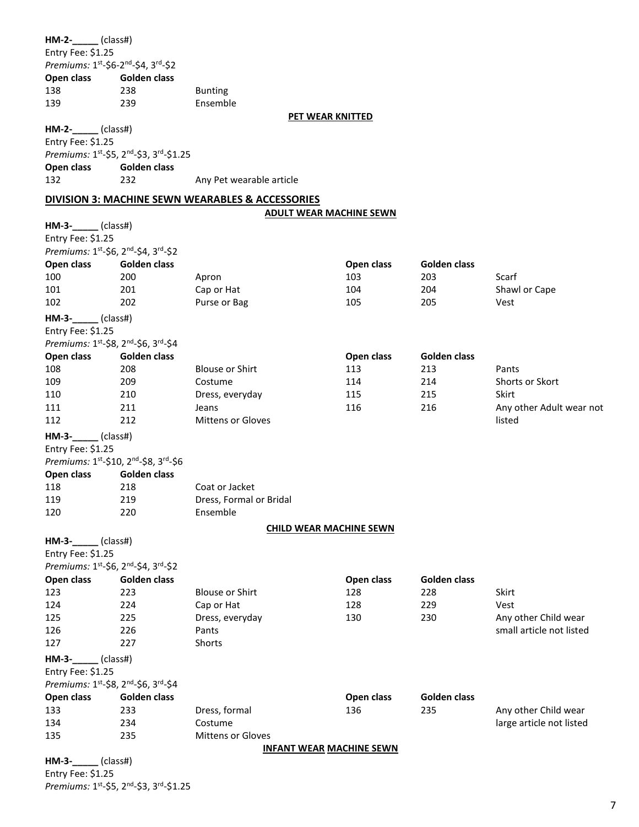| $HM-2-$ (class#)<br>Entry Fee: \$1.25<br>Open class<br>138 | Premiums: 1st-\$6-2nd-\$4, 3rd-\$2<br>Golden class<br>238 | <b>Bunting</b>                                   |                                 |              |                          |
|------------------------------------------------------------|-----------------------------------------------------------|--------------------------------------------------|---------------------------------|--------------|--------------------------|
| 139                                                        | 239                                                       | Ensemble                                         |                                 |              |                          |
|                                                            |                                                           |                                                  | PET WEAR KNITTED                |              |                          |
| HM-2-_____(class#)<br>Entry Fee: \$1.25                    | Premiums: 1st-\$5, 2nd-\$3, 3rd-\$1.25                    |                                                  |                                 |              |                          |
| Open class                                                 | Golden class                                              |                                                  |                                 |              |                          |
| 132                                                        | 232                                                       | Any Pet wearable article                         |                                 |              |                          |
|                                                            |                                                           | DIVISION 3: MACHINE SEWN WEARABLES & ACCESSORIES |                                 |              |                          |
|                                                            |                                                           |                                                  | <b>ADULT WEAR MACHINE SEWN</b>  |              |                          |
| $HM-3$ -_____(class#)                                      |                                                           |                                                  |                                 |              |                          |
| Entry Fee: \$1.25                                          |                                                           |                                                  |                                 |              |                          |
|                                                            | Premiums: 1st-\$6, 2nd-\$4, 3rd-\$2                       |                                                  |                                 |              |                          |
| Open class                                                 | Golden class                                              |                                                  | Open class                      | Golden class |                          |
| 100                                                        | 200                                                       | Apron                                            | 103                             | 203          | Scarf                    |
| 101                                                        | 201                                                       | Cap or Hat                                       | 104                             | 204          | Shawl or Cape            |
| 102                                                        | 202                                                       | Purse or Bag                                     | 105                             | 205          | Vest                     |
| $HM-3$ - $\_\_\_\_$ (class#)                               |                                                           |                                                  |                                 |              |                          |
| Entry Fee: \$1.25                                          |                                                           |                                                  |                                 |              |                          |
|                                                            | Premiums: 1st-\$8, 2nd-\$6, 3rd-\$4                       |                                                  |                                 |              |                          |
| Open class                                                 | Golden class                                              |                                                  | Open class                      | Golden class |                          |
| 108                                                        | 208                                                       | <b>Blouse or Shirt</b>                           | 113                             | 213          | Pants                    |
| 109                                                        | 209                                                       | Costume                                          | 114                             | 214          | Shorts or Skort          |
| 110                                                        | 210                                                       | Dress, everyday                                  | 115                             | 215          | Skirt                    |
| 111                                                        | 211                                                       | Jeans                                            | 116                             | 216          | Any other Adult wear not |
| 112                                                        | 212                                                       | Mittens or Gloves                                |                                 |              | listed                   |
|                                                            |                                                           |                                                  |                                 |              |                          |
| $HM-3$ -_____(class#)                                      |                                                           |                                                  |                                 |              |                          |
| Entry Fee: \$1.25                                          |                                                           |                                                  |                                 |              |                          |
|                                                            | Premiums: 1st-\$10, 2nd-\$8, 3rd-\$6                      |                                                  |                                 |              |                          |
| Open class                                                 | Golden class                                              |                                                  |                                 |              |                          |
| 118                                                        | 218                                                       | Coat or Jacket                                   |                                 |              |                          |
| 119                                                        | 219                                                       | Dress, Formal or Bridal                          |                                 |              |                          |
| 120                                                        | 220                                                       | Ensemble                                         |                                 |              |                          |
|                                                            |                                                           |                                                  | <b>CHILD WEAR MACHINE SEWN</b>  |              |                          |
| $HM-3$ - $\_\_\_\_$ (class#)                               |                                                           |                                                  |                                 |              |                          |
| Entry Fee: \$1.25                                          |                                                           |                                                  |                                 |              |                          |
|                                                            | Premiums: 1st-\$6, 2nd-\$4, 3rd-\$2                       |                                                  |                                 |              |                          |
| Open class                                                 | <b>Golden class</b>                                       |                                                  | Open class                      | Golden class |                          |
| 123                                                        | 223                                                       | <b>Blouse or Shirt</b>                           | 128                             | 228          | Skirt                    |
| 124                                                        | 224                                                       | Cap or Hat                                       | 128                             | 229          | Vest                     |
| 125                                                        | 225                                                       | Dress, everyday                                  | 130                             | 230          | Any other Child wear     |
| 126                                                        | 226                                                       | Pants                                            |                                 |              | small article not listed |
| 127                                                        | 227                                                       | Shorts                                           |                                 |              |                          |
| $HM-3-$                                                    | (class#)                                                  |                                                  |                                 |              |                          |
| Entry Fee: \$1.25                                          |                                                           |                                                  |                                 |              |                          |
|                                                            | Premiums: 1st-\$8, 2nd-\$6, 3rd-\$4                       |                                                  |                                 |              |                          |
| Open class                                                 | Golden class                                              |                                                  | Open class                      | Golden class |                          |
| 133                                                        | 233                                                       | Dress, formal                                    | 136                             | 235          | Any other Child wear     |
| 134                                                        | 234                                                       | Costume                                          |                                 |              | large article not listed |
| 135                                                        | 235                                                       | Mittens or Gloves                                |                                 |              |                          |
|                                                            |                                                           |                                                  | <b>INFANT WEAR MACHINE SEWN</b> |              |                          |
|                                                            |                                                           |                                                  |                                 |              |                          |

**HM-3-\_\_\_\_\_** (class#) Entry Fee: \$1.25 *Premiums:* 1 st -\$5, 2nd -\$3, 3rd -\$1.25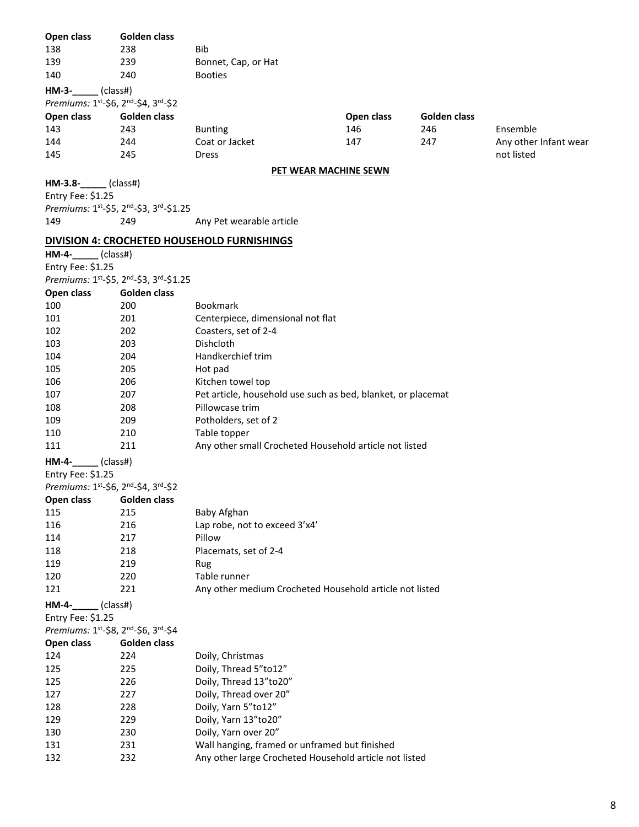| Open class                          | Golden class                           |                                                              |            |              |                       |
|-------------------------------------|----------------------------------------|--------------------------------------------------------------|------------|--------------|-----------------------|
| 138                                 | 238                                    | <b>Bib</b>                                                   |            |              |                       |
| 139                                 | 239                                    | Bonnet, Cap, or Hat                                          |            |              |                       |
| 140                                 | 240                                    | <b>Booties</b>                                               |            |              |                       |
| $HM-3-$ (class#)                    |                                        |                                                              |            |              |                       |
| Premiums: 1st-\$6, 2nd-\$4, 3rd-\$2 |                                        |                                                              |            |              |                       |
| Open class                          | Golden class                           |                                                              | Open class | Golden class |                       |
| 143                                 | 243                                    | <b>Bunting</b>                                               | 146        | 246          | Ensemble              |
| 144                                 | 244                                    | Coat or Jacket                                               | 147        | 247          | Any other Infant wear |
| 145                                 | 245                                    | <b>Dress</b>                                                 |            |              | not listed            |
|                                     |                                        | PET WEAR MACHINE SEWN                                        |            |              |                       |
| $HM-3.8$ - (class#)                 |                                        |                                                              |            |              |                       |
| Entry Fee: \$1.25                   |                                        |                                                              |            |              |                       |
|                                     | Premiums: 1st-\$5, 2nd-\$3, 3rd-\$1.25 |                                                              |            |              |                       |
| 149                                 | 249                                    | Any Pet wearable article                                     |            |              |                       |
|                                     |                                        |                                                              |            |              |                       |
|                                     |                                        | DIVISION 4: CROCHETED HOUSEHOLD FURNISHINGS                  |            |              |                       |
| HM-4-_____(class#)                  |                                        |                                                              |            |              |                       |
| Entry Fee: \$1.25                   |                                        |                                                              |            |              |                       |
|                                     | Premiums: 1st-\$5, 2nd-\$3, 3rd-\$1.25 |                                                              |            |              |                       |
| Open class                          | Golden class                           |                                                              |            |              |                       |
| 100                                 | 200                                    | <b>Bookmark</b>                                              |            |              |                       |
| 101                                 | 201                                    | Centerpiece, dimensional not flat                            |            |              |                       |
| 102                                 | 202                                    | Coasters, set of 2-4                                         |            |              |                       |
| 103                                 | 203                                    | Dishcloth                                                    |            |              |                       |
| 104                                 | 204                                    | Handkerchief trim                                            |            |              |                       |
| 105                                 | 205                                    | Hot pad                                                      |            |              |                       |
| 106                                 | 206                                    | Kitchen towel top                                            |            |              |                       |
| 107                                 | 207                                    | Pet article, household use such as bed, blanket, or placemat |            |              |                       |
| 108                                 | 208                                    | Pillowcase trim                                              |            |              |                       |
| 109                                 | 209                                    | Potholders, set of 2                                         |            |              |                       |
| 110                                 | 210                                    | Table topper                                                 |            |              |                       |
| 111                                 | 211                                    | Any other small Crocheted Household article not listed       |            |              |                       |
| HM-4-_____(class#)                  |                                        |                                                              |            |              |                       |
| Entry Fee: \$1.25                   |                                        |                                                              |            |              |                       |
| Premiums: 1st-\$6, 2nd-\$4, 3rd-\$2 |                                        |                                                              |            |              |                       |
| Open class                          | Golden class                           |                                                              |            |              |                       |
| 115                                 | 215                                    | Baby Afghan                                                  |            |              |                       |
| 116                                 | 216                                    | Lap robe, not to exceed 3'x4'                                |            |              |                       |
| 114                                 | 217                                    | Pillow                                                       |            |              |                       |
| 118                                 | 218                                    | Placemats, set of 2-4                                        |            |              |                       |
| 119                                 | 219                                    | Rug                                                          |            |              |                       |
| 120                                 | 220                                    | Table runner                                                 |            |              |                       |
| 121                                 | 221                                    | Any other medium Crocheted Household article not listed      |            |              |                       |
|                                     |                                        |                                                              |            |              |                       |
| $HM-4-$<br>(class#)                 |                                        |                                                              |            |              |                       |
| Entry Fee: \$1.25                   |                                        |                                                              |            |              |                       |
| Premiums: 1st-\$8, 2nd-\$6, 3rd-\$4 |                                        |                                                              |            |              |                       |
| Open class                          | Golden class                           |                                                              |            |              |                       |
| 124                                 | 224                                    | Doily, Christmas                                             |            |              |                       |
| 125                                 | 225                                    | Doily, Thread 5"to12"                                        |            |              |                       |
| 125                                 | 226                                    | Doily, Thread 13"to20"                                       |            |              |                       |
| 127                                 | 227                                    | Doily, Thread over 20"                                       |            |              |                       |
| 128                                 | 228                                    | Doily, Yarn 5"to12"                                          |            |              |                       |
| 129                                 | 229                                    | Doily, Yarn 13"to20"                                         |            |              |                       |
| 130                                 | 230                                    | Doily, Yarn over 20"                                         |            |              |                       |
| 131                                 | 231                                    | Wall hanging, framed or unframed but finished                |            |              |                       |
| 132                                 | 232                                    | Any other large Crocheted Household article not listed       |            |              |                       |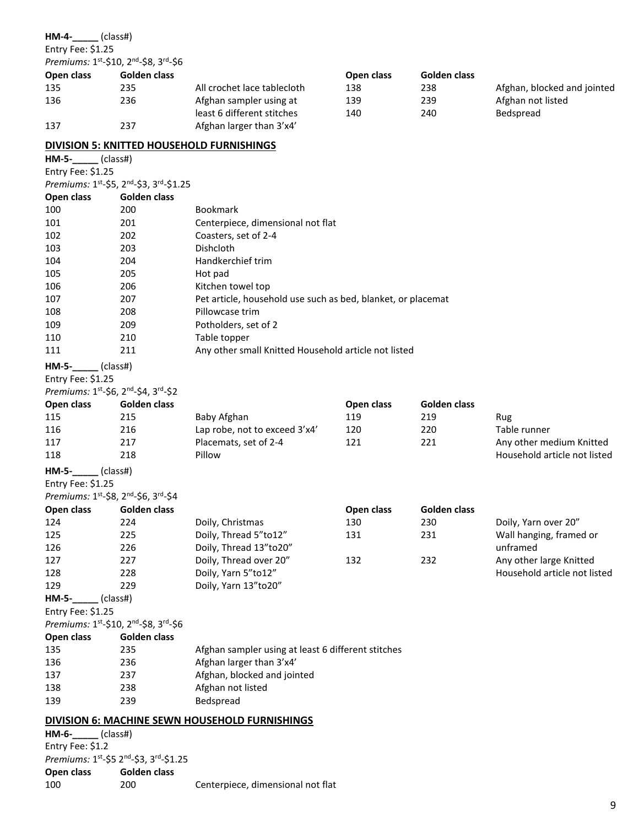| HM-4-_____(class#)                     |              |                                                              |            |                     |                              |
|----------------------------------------|--------------|--------------------------------------------------------------|------------|---------------------|------------------------------|
| Entry Fee: \$1.25                      |              |                                                              |            |                     |                              |
| Premiums: 1st-\$10, 2nd-\$8, 3rd-\$6   |              |                                                              |            |                     |                              |
| Open class                             | Golden class |                                                              | Open class | Golden class        |                              |
| 135                                    | 235          | All crochet lace tablecloth                                  | 138        | 238                 | Afghan, blocked and jointed  |
| 136                                    | 236          | Afghan sampler using at                                      | 139        | 239                 | Afghan not listed            |
| 137                                    | 237          | least 6 different stitches<br>Afghan larger than 3'x4'       | 140        | 240                 | Bedspread                    |
|                                        |              | <b>DIVISION 5: KNITTED HOUSEHOLD FURNISHINGS</b>             |            |                     |                              |
| $HM-5$ -_____(class#)                  |              |                                                              |            |                     |                              |
| Entry Fee: \$1.25                      |              |                                                              |            |                     |                              |
| Premiums: 1st-\$5, 2nd-\$3, 3rd-\$1.25 |              |                                                              |            |                     |                              |
| Open class                             | Golden class |                                                              |            |                     |                              |
| 100                                    | 200          | <b>Bookmark</b>                                              |            |                     |                              |
| 101                                    | 201          | Centerpiece, dimensional not flat                            |            |                     |                              |
| 102                                    | 202          | Coasters, set of 2-4                                         |            |                     |                              |
|                                        |              | Dishcloth                                                    |            |                     |                              |
| 103                                    | 203          | Handkerchief trim                                            |            |                     |                              |
| 104                                    | 204          |                                                              |            |                     |                              |
| 105                                    | 205          | Hot pad                                                      |            |                     |                              |
| 106                                    | 206          | Kitchen towel top                                            |            |                     |                              |
| 107                                    | 207          | Pet article, household use such as bed, blanket, or placemat |            |                     |                              |
| 108                                    | 208          | Pillowcase trim                                              |            |                     |                              |
| 109                                    | 209          | Potholders, set of 2                                         |            |                     |                              |
| 110                                    | 210          | Table topper                                                 |            |                     |                              |
| 111                                    | 211          | Any other small Knitted Household article not listed         |            |                     |                              |
| HM-5-_____(class#)                     |              |                                                              |            |                     |                              |
| Entry Fee: \$1.25                      |              |                                                              |            |                     |                              |
| Premiums: 1st-\$6, 2nd-\$4, 3rd-\$2    |              |                                                              |            |                     |                              |
| Open class                             | Golden class |                                                              | Open class | Golden class        |                              |
| 115                                    | 215          | Baby Afghan                                                  | 119        | 219                 | Rug                          |
| 116                                    | 216          | Lap robe, not to exceed 3'x4'                                | 120        | 220                 | Table runner                 |
| 117                                    | 217          | Placemats, set of 2-4                                        | 121        | 221                 | Any other medium Knitted     |
| 118                                    | 218          | Pillow                                                       |            |                     | Household article not listed |
| HM-5-_____(class#)                     |              |                                                              |            |                     |                              |
| Entry Fee: \$1.25                      |              |                                                              |            |                     |                              |
| Premiums: 1st-\$8, 2nd-\$6, 3rd-\$4    |              |                                                              |            |                     |                              |
| Open class                             | Golden class |                                                              | Open class | <b>Golden class</b> |                              |
| 124                                    | 224          | Doily, Christmas                                             | 130        | 230                 | Doily, Yarn over 20"         |
| 125                                    | 225          | Doily, Thread 5"to12"                                        | 131        | 231                 |                              |
|                                        |              | Doily, Thread 13"to20"                                       |            |                     | Wall hanging, framed or      |
| 126                                    | 226          |                                                              |            |                     | unframed                     |
| 127                                    | 227          | Doily, Thread over 20"                                       | 132        | 232                 | Any other large Knitted      |
| 128                                    | 228          | Doily, Yarn 5"to12"                                          |            |                     | Household article not listed |
| 129                                    | 229          | Doily, Yarn 13"to20"                                         |            |                     |                              |
| $HM-5$ - $\qquad$<br>$\_$ (class#)     |              |                                                              |            |                     |                              |
| Entry Fee: \$1.25                      |              |                                                              |            |                     |                              |
| Premiums: 1st-\$10, 2nd-\$8, 3rd-\$6   |              |                                                              |            |                     |                              |
| Open class                             | Golden class |                                                              |            |                     |                              |
| 135                                    | 235          | Afghan sampler using at least 6 different stitches           |            |                     |                              |
| 136                                    | 236          | Afghan larger than 3'x4'                                     |            |                     |                              |
| 137                                    | 237          | Afghan, blocked and jointed                                  |            |                     |                              |
| 138                                    | 238          | Afghan not listed                                            |            |                     |                              |
| 139                                    | 239          | Bedspread                                                    |            |                     |                              |
|                                        |              | <b>DIVISION 6: MACHINE SEWN HOUSEHOLD FURNISHINGS</b>        |            |                     |                              |
| $HM-6$ - $\qquad$ (class#)             |              |                                                              |            |                     |                              |
| Entry Fee: \$1.2                       |              |                                                              |            |                     |                              |
| Premiums: 1st-\$5 2nd-\$3, 3rd-\$1.25  |              |                                                              |            |                     |                              |
| Open class                             | Golden class |                                                              |            |                     |                              |
| 100                                    | 200          | Centerpiece, dimensional not flat                            |            |                     |                              |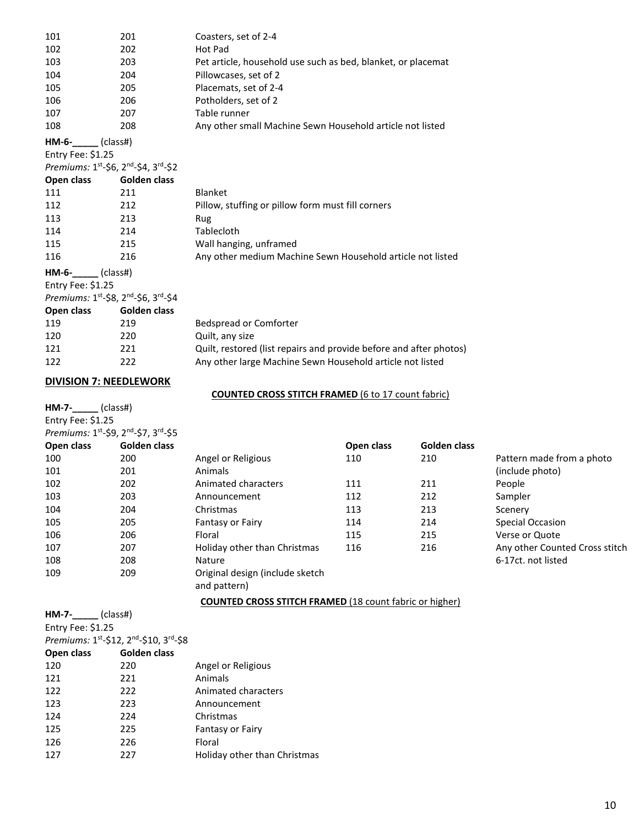| 101 | 201 | Coasters, set of 2-4                                         |
|-----|-----|--------------------------------------------------------------|
| 102 | 202 | Hot Pad                                                      |
| 103 | 203 | Pet article, household use such as bed, blanket, or placemat |
| 104 | 204 | Pillowcases, set of 2                                        |
| 105 | 205 | Placemats, set of 2-4                                        |
| 106 | 206 | Potholders, set of 2                                         |
| 107 | 207 | Table runner                                                 |
| 108 | 208 | Any other small Machine Sewn Household article not listed    |

**HM-6-\_\_\_\_\_** (class#) Entry Fee: \$1.25

Premiums: 1<sup>st</sup>-\$6, 2<sup>nd</sup>-\$4, 3<sup>rd</sup>-\$2

| Open class        | Golden class                        |                                                            |
|-------------------|-------------------------------------|------------------------------------------------------------|
| 111               | 211                                 | <b>Blanket</b>                                             |
| 112               | 212                                 | Pillow, stuffing or pillow form must fill corners          |
| 113               | 213                                 | Rug                                                        |
| 114               | 214                                 | Tablecloth                                                 |
| 115               | 215                                 | Wall hanging, unframed                                     |
| 116               | 216                                 | Any other medium Machine Sewn Household article not listed |
| $HM-6-$ (class#)  |                                     |                                                            |
| Entry Fee: \$1.25 |                                     |                                                            |
|                   | Premiums: 1st-\$8, 2nd-\$6, 3rd-\$4 |                                                            |
| Open class        | Golden class                        |                                                            |
| 119               | 219                                 | <b>Bedspread or Comforter</b>                              |
| 120               | 220                                 | Quilt, any size                                            |

| 12U | ZZU | Quiit, driv size                                                   |
|-----|-----|--------------------------------------------------------------------|
| 121 | 221 | Quilt, restored (list repairs and provide before and after photos) |
| 122 | 222 | Any other large Machine Sewn Household article not listed          |

#### **DIVISION 7: NEEDLEWORK**

**HM-7-\_\_\_\_\_** (class#) Entry Fee: \$1.25

#### **COUNTED CROSS STITCH FRAMED** (6 to 17 count fabric)

| Premiums: 1st-\$9, 2nd-\$7, 3rd-\$5 |              |                                                 |            |              |                                |
|-------------------------------------|--------------|-------------------------------------------------|------------|--------------|--------------------------------|
| Open class                          | Golden class |                                                 | Open class | Golden class |                                |
| 100                                 | 200          | Angel or Religious                              | 110        | 210          | Pattern made from a photo      |
| 101                                 | 201          | Animals                                         |            |              | (include photo)                |
| 102                                 | 202          | Animated characters                             | 111        | 211          | People                         |
| 103                                 | 203          | Announcement                                    | 112        | 212          | Sampler                        |
| 104                                 | 204          | Christmas                                       | 113        | 213          | Scenery                        |
| 105                                 | 205          | <b>Fantasy or Fairy</b>                         | 114        | 214          | Special Occasion               |
| 106                                 | 206          | Floral                                          | 115        | 215          | Verse or Quote                 |
| 107                                 | 207          | Holiday other than Christmas                    | 116        | 216          | Any other Counted Cross stitch |
| 108                                 | 208          | Nature                                          |            |              | 6-17ct. not listed             |
| 109                                 | 209          | Original design (include sketch<br>and pattern) |            |              |                                |

**COUNTED CROSS STITCH FRAMED** (18 count fabric or higher)

**HM-7-\_\_\_\_\_** (class#) Entry Fee: \$1.25 *Premiums:* 1 st -\$12, 2nd -\$10, 3rd -\$8 **Open class Golden class** 220 Angel or Religious 221 Animals 222 Animated characters 223 Announcement 224 Christmas 225 Fantasy or Fairy 226 Floral 227 Holiday other than Christmas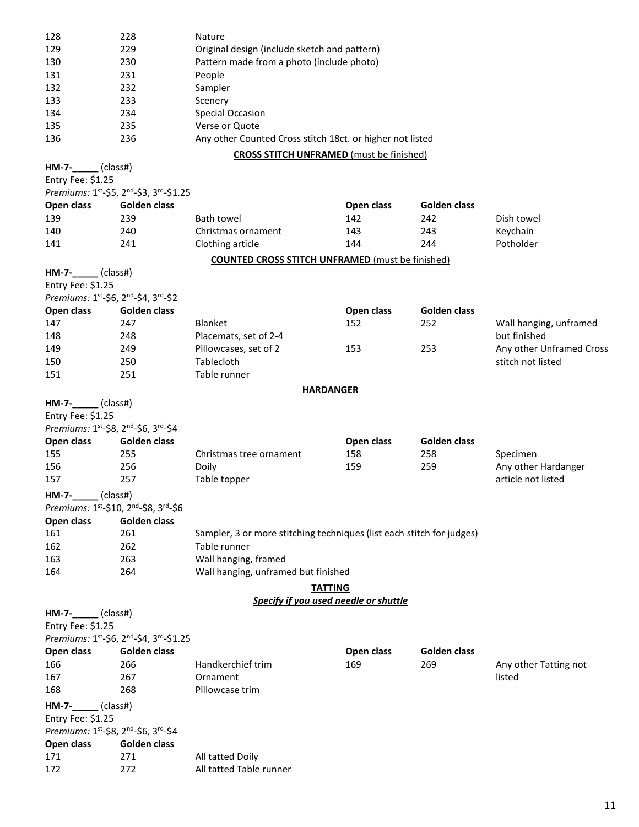| 128                                   | 228                                    | Nature                                                                |            |              |                          |  |
|---------------------------------------|----------------------------------------|-----------------------------------------------------------------------|------------|--------------|--------------------------|--|
| 129                                   | 229                                    | Original design (include sketch and pattern)                          |            |              |                          |  |
| 130                                   | 230                                    | Pattern made from a photo (include photo)                             |            |              |                          |  |
| 131                                   | 231                                    | People                                                                |            |              |                          |  |
| 132                                   | 232                                    | Sampler                                                               |            |              |                          |  |
| 133                                   | 233                                    | Scenery                                                               |            |              |                          |  |
| 134                                   | 234                                    | Special Occasion                                                      |            |              |                          |  |
| 135                                   | 235                                    | Verse or Quote                                                        |            |              |                          |  |
| 136                                   | 236                                    | Any other Counted Cross stitch 18ct. or higher not listed             |            |              |                          |  |
|                                       |                                        | <b>CROSS STITCH UNFRAMED</b> (must be finished)                       |            |              |                          |  |
|                                       |                                        |                                                                       |            |              |                          |  |
| $HM-7-$ (class#)<br>Entry Fee: \$1.25 |                                        |                                                                       |            |              |                          |  |
|                                       | Premiums: 1st-\$5, 2nd-\$3, 3rd-\$1.25 |                                                                       |            |              |                          |  |
|                                       |                                        |                                                                       |            |              |                          |  |
| Open class                            | Golden class                           |                                                                       | Open class | Golden class |                          |  |
| 139                                   | 239                                    | <b>Bath towel</b>                                                     | 142        | 242          | Dish towel               |  |
| 140                                   | 240                                    | Christmas ornament                                                    | 143        | 243          | Keychain                 |  |
| 141                                   | 241                                    | Clothing article                                                      | 144        | 244          | Potholder                |  |
|                                       |                                        | <b>COUNTED CROSS STITCH UNFRAMED</b> (must be finished)               |            |              |                          |  |
| $HM-7$ - $_{\_}$ (class#)             |                                        |                                                                       |            |              |                          |  |
| Entry Fee: \$1.25                     |                                        |                                                                       |            |              |                          |  |
| Premiums: 1st-\$6, 2nd-\$4, 3rd-\$2   |                                        |                                                                       |            |              |                          |  |
| Open class                            | <b>Golden class</b>                    |                                                                       | Open class | Golden class |                          |  |
| 147                                   | 247                                    | <b>Blanket</b>                                                        | 152        | 252          | Wall hanging, unframed   |  |
| 148                                   | 248                                    | Placemats, set of 2-4                                                 |            |              | but finished             |  |
| 149                                   | 249                                    | Pillowcases, set of 2                                                 | 153        | 253          | Any other Unframed Cross |  |
| 150                                   | 250                                    | Tablecloth                                                            |            |              | stitch not listed        |  |
|                                       |                                        |                                                                       |            |              |                          |  |
| 151                                   | 251                                    | Table runner                                                          |            |              |                          |  |
|                                       |                                        | <b>HARDANGER</b>                                                      |            |              |                          |  |
| $HM-7$ -_____(class#)                 |                                        |                                                                       |            |              |                          |  |
| Entry Fee: \$1.25                     |                                        |                                                                       |            |              |                          |  |
| Premiums: 1st-\$8, 2nd-\$6, 3rd-\$4   |                                        |                                                                       |            |              |                          |  |
| Open class                            | Golden class                           |                                                                       | Open class | Golden class |                          |  |
| 155                                   | 255                                    | Christmas tree ornament                                               | 158        | 258          | Specimen                 |  |
| 156                                   | 256                                    | Doily                                                                 | 159        | 259          | Any other Hardanger      |  |
| 157                                   | 257                                    | Table topper                                                          |            |              | article not listed       |  |
| <b>HM-7-</b>                          | (class#)                               |                                                                       |            |              |                          |  |
| Premiums: 1st-\$10, 2nd-\$8, 3rd-\$6  |                                        |                                                                       |            |              |                          |  |
|                                       |                                        |                                                                       |            |              |                          |  |
| Open class                            | Golden class                           |                                                                       |            |              |                          |  |
| 161                                   | 261                                    | Sampler, 3 or more stitching techniques (list each stitch for judges) |            |              |                          |  |
| 162                                   | 262                                    | Table runner                                                          |            |              |                          |  |
| 163                                   | 263                                    | Wall hanging, framed                                                  |            |              |                          |  |
| 164                                   | 264                                    | Wall hanging, unframed but finished                                   |            |              |                          |  |
|                                       |                                        | <b>TATTING</b>                                                        |            |              |                          |  |
|                                       |                                        | Specify if you used needle or shuttle                                 |            |              |                          |  |
| $HM-7$ -_____(class#)                 |                                        |                                                                       |            |              |                          |  |
| Entry Fee: \$1.25                     |                                        |                                                                       |            |              |                          |  |
|                                       | Premiums: 1st-\$6, 2nd-\$4, 3rd-\$1.25 |                                                                       |            |              |                          |  |
| Open class                            | Golden class                           |                                                                       | Open class | Golden class |                          |  |
| 166                                   | 266                                    | Handkerchief trim                                                     | 169        | 269          | Any other Tatting not    |  |
| 167                                   | 267                                    | Ornament                                                              |            |              | listed                   |  |
| 168                                   | 268                                    | Pillowcase trim                                                       |            |              |                          |  |
|                                       |                                        |                                                                       |            |              |                          |  |
| HM-7-_____(class#)                    |                                        |                                                                       |            |              |                          |  |
| Entry Fee: \$1.25                     |                                        |                                                                       |            |              |                          |  |
| Premiums: 1st-\$8, 2nd-\$6, 3rd-\$4   |                                        |                                                                       |            |              |                          |  |
| Open class                            | Golden class                           |                                                                       |            |              |                          |  |
| 171                                   | 271                                    | All tatted Doily                                                      |            |              |                          |  |
| 172                                   | 272                                    | All tatted Table runner                                               |            |              |                          |  |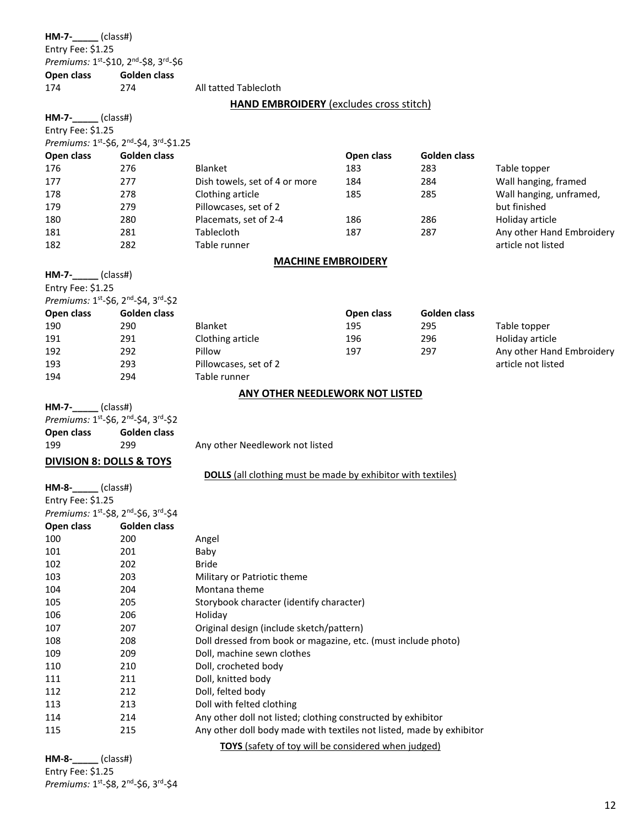**HM-7-\_\_\_\_\_** (class#) Entry Fee: \$1.25 *Premiums:* 1 st -\$10, 2nd -\$8, 3rd -\$6 **Open class Golden class**<br>174 274

All tatted Tablecloth

**HAND EMBROIDERY** (excludes cross stitch)

| $HM-7-$ (class#)                    |                                        |                                                                      |            |              |                           |  |
|-------------------------------------|----------------------------------------|----------------------------------------------------------------------|------------|--------------|---------------------------|--|
| Entry Fee: \$1.25                   |                                        |                                                                      |            |              |                           |  |
|                                     | Premiums: 1st-\$6, 2nd-\$4, 3rd-\$1.25 |                                                                      |            |              |                           |  |
| Open class                          | Golden class                           |                                                                      | Open class | Golden class |                           |  |
| 176                                 | 276                                    | <b>Blanket</b>                                                       | 183        | 283          | Table topper              |  |
| 177                                 | 277                                    | Dish towels, set of 4 or more                                        | 184        | 284          | Wall hanging, framed      |  |
| 178                                 | 278                                    | Clothing article                                                     | 185        | 285          | Wall hanging, unframed,   |  |
| 179                                 | 279                                    | Pillowcases, set of 2                                                |            |              | but finished              |  |
| 180                                 | 280                                    | Placemats, set of 2-4                                                | 186        | 286          | Holiday article           |  |
| 181                                 | 281                                    | Tablecloth                                                           | 187        | 287          | Any other Hand Embroidery |  |
| 182                                 | 282                                    | Table runner                                                         |            |              | article not listed        |  |
|                                     |                                        | <b>MACHINE EMBROIDERY</b>                                            |            |              |                           |  |
| (class#)<br>HM-7-                   |                                        |                                                                      |            |              |                           |  |
| Entry Fee: \$1.25                   |                                        |                                                                      |            |              |                           |  |
| Premiums: 1st-\$6, 2nd-\$4, 3rd-\$2 |                                        |                                                                      |            |              |                           |  |
| Open class                          | Golden class                           |                                                                      | Open class | Golden class |                           |  |
| 190                                 | 290                                    | Blanket                                                              | 195        | 295          | Table topper              |  |
| 191                                 | 291                                    | Clothing article                                                     | 196        | 296          | Holiday article           |  |
| 192                                 | 292                                    | Pillow                                                               | 197        | 297          | Any other Hand Embroidery |  |
| 193                                 | 293                                    | Pillowcases, set of 2                                                |            |              | article not listed        |  |
| 194                                 | 294                                    | Table runner                                                         |            |              |                           |  |
|                                     |                                        |                                                                      |            |              |                           |  |
|                                     |                                        | ANY OTHER NEEDLEWORK NOT LISTED                                      |            |              |                           |  |
| $HM-7-$ (class#)                    |                                        |                                                                      |            |              |                           |  |
| Premiums: 1st-\$6, 2nd-\$4, 3rd-\$2 |                                        |                                                                      |            |              |                           |  |
| Open class                          | Golden class                           |                                                                      |            |              |                           |  |
| 199                                 | 299                                    | Any other Needlework not listed                                      |            |              |                           |  |
| <b>DIVISION 8: DOLLS &amp; TOYS</b> |                                        |                                                                      |            |              |                           |  |
|                                     |                                        | <b>DOLLS</b> (all clothing must be made by exhibitor with textiles)  |            |              |                           |  |
| $HM-8$ -_____(class#)               |                                        |                                                                      |            |              |                           |  |
| Entry Fee: \$1.25                   |                                        |                                                                      |            |              |                           |  |
| Premiums: 1st-\$8, 2nd-\$6, 3rd-\$4 |                                        |                                                                      |            |              |                           |  |
| Open class                          | Golden class                           |                                                                      |            |              |                           |  |
| 100                                 | 200                                    | Angel                                                                |            |              |                           |  |
| 101                                 | 201                                    | Baby                                                                 |            |              |                           |  |
| 102                                 | 202                                    | <b>Bride</b>                                                         |            |              |                           |  |
| 103                                 | 203                                    | Military or Patriotic theme                                          |            |              |                           |  |
| 104                                 | 204                                    | Montana theme                                                        |            |              |                           |  |
| 105                                 | 205                                    | Storybook character (identify character)                             |            |              |                           |  |
| 106                                 | 206                                    | Holiday                                                              |            |              |                           |  |
| 107                                 | 207                                    | Original design (include sketch/pattern)                             |            |              |                           |  |
| 108                                 | 208                                    | Doll dressed from book or magazine, etc. (must include photo)        |            |              |                           |  |
| 109                                 | 209                                    | Doll, machine sewn clothes                                           |            |              |                           |  |
| 110                                 | 210                                    | Doll, crocheted body                                                 |            |              |                           |  |
| 111                                 | 211                                    | Doll, knitted body                                                   |            |              |                           |  |
| 112                                 | 212                                    | Doll, felted body                                                    |            |              |                           |  |
| 113                                 | 213                                    | Doll with felted clothing                                            |            |              |                           |  |
| 114                                 | 214                                    | Any other doll not listed; clothing constructed by exhibitor         |            |              |                           |  |
| 115                                 | 215                                    | Any other doll body made with textiles not listed, made by exhibitor |            |              |                           |  |
|                                     |                                        | TOYS (safety of toy will be considered when judged)                  |            |              |                           |  |

**HM-8-\_\_\_\_\_** (class#) Entry Fee: \$1.25 *Premiums:* 1<sup>st</sup>-\$8, 2<sup>nd</sup>-\$6, 3<sup>rd</sup>-\$4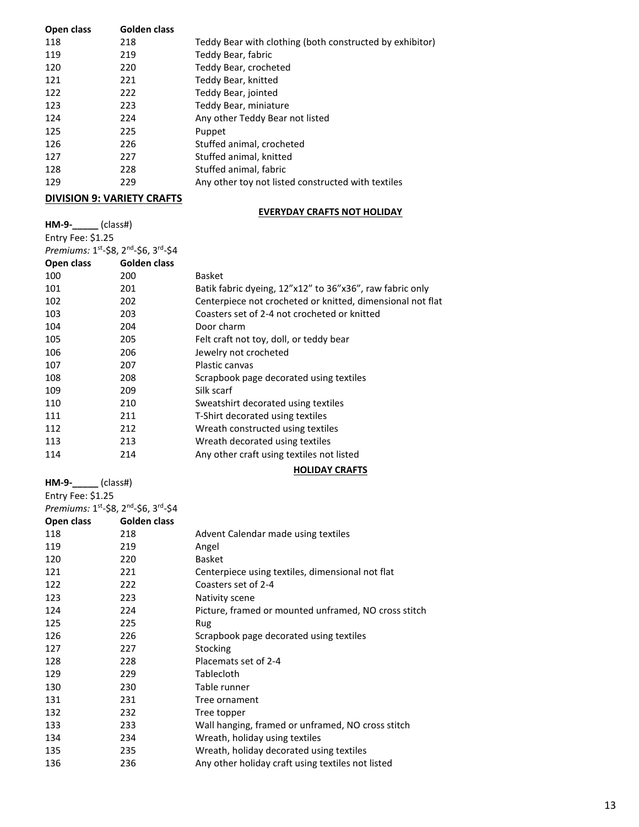| Open class | Golden class |                                                          |
|------------|--------------|----------------------------------------------------------|
| 118        | 218          | Teddy Bear with clothing (both constructed by exhibitor) |
| 119        | 219          | Teddy Bear, fabric                                       |
| 120        | 220          | Teddy Bear, crocheted                                    |
| 121        | 221          | Teddy Bear, knitted                                      |
| 122        | 222          | Teddy Bear, jointed                                      |
| 123        | 223          | Teddy Bear, miniature                                    |
| 124        | 224          | Any other Teddy Bear not listed                          |
| 125        | 225          | Puppet                                                   |
| 126        | 226          | Stuffed animal, crocheted                                |
| 127        | 227          | Stuffed animal, knitted                                  |
| 128        | 228          | Stuffed animal, fabric                                   |
| 129        | 229          | Any other toy not listed constructed with textiles       |

#### **DIVISION 9: VARIETY CRAFTS**

**HM-9-\_\_\_\_\_** (class#)

#### **EVERYDAY CRAFTS NOT HOLIDAY**

| Entry Fee: \$1.25                   |              |                                                            |
|-------------------------------------|--------------|------------------------------------------------------------|
| Premiums: 1st-\$8, 2nd-\$6, 3rd-\$4 |              |                                                            |
| Open class                          | Golden class |                                                            |
| 100                                 | 200          | Basket                                                     |
| 101                                 | 201          | Batik fabric dyeing, 12"x12" to 36"x36", raw fabric only   |
| 102                                 | 202          | Centerpiece not crocheted or knitted, dimensional not flat |
| 103                                 | 203          | Coasters set of 2-4 not crocheted or knitted               |
| 104                                 | 204          | Door charm                                                 |
| 105                                 | 205          | Felt craft not toy, doll, or teddy bear                    |
| 106                                 | 206          | Jewelry not crocheted                                      |
| 107                                 | 207          | Plastic canvas                                             |
| 108                                 | 208          | Scrapbook page decorated using textiles                    |
| 109                                 | 209          | Silk scarf                                                 |
| 110                                 | 210          | Sweatshirt decorated using textiles                        |
| 111                                 | 211          | T-Shirt decorated using textiles                           |
| 112                                 | 212          | Wreath constructed using textiles                          |
| 113                                 | 213          | Wreath decorated using textiles                            |
| 114                                 | 214          | Any other craft using textiles not listed                  |
|                                     |              |                                                            |

#### **HOLIDAY CRAFTS**

| $HM-9 (class#)$                     |              |                                                      |
|-------------------------------------|--------------|------------------------------------------------------|
| Entry Fee: \$1.25                   |              |                                                      |
| Premiums: 1st-\$8, 2nd-\$6, 3rd-\$4 |              |                                                      |
| Open class                          | Golden class |                                                      |
| 118                                 | 218          | Advent Calendar made using textiles                  |
| 119                                 | 219          | Angel                                                |
| 120                                 | 220          | <b>Basket</b>                                        |
| 121                                 | 221          | Centerpiece using textiles, dimensional not flat     |
| 122                                 | 222          | Coasters set of 2-4                                  |
| 123                                 | 223          | Nativity scene                                       |
| 124                                 | 224          | Picture, framed or mounted unframed, NO cross stitch |
| 125                                 | 225          | Rug                                                  |
| 126                                 | 226          | Scrapbook page decorated using textiles              |
| 127                                 | 227          | Stocking                                             |
| 128                                 | 228          | Placemats set of 2-4                                 |
| 129                                 | 229          | Tablecloth                                           |
| 130                                 | 230          | Table runner                                         |
| 131                                 | 231          | Tree ornament                                        |

233 Wall hanging, framed or unframed, NO cross stitch

234 Wreath, holiday using textiles

235 Wreath, holiday decorated using textiles

236 Any other holiday craft using textiles not listed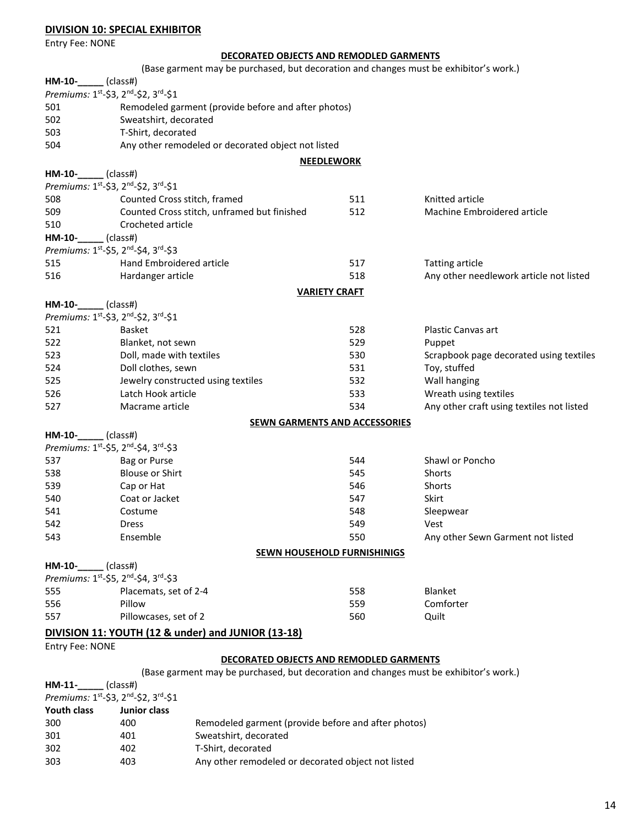### **DIVISION 10: SPECIAL EXHIBITOR**

Entry Fee: NONE

### **DECORATED OBJECTS AND REMODLED GARMENTS**

|                             | (Base garment may be purchased, but decoration and changes must be exhibitor's work.) |                      |                                           |
|-----------------------------|---------------------------------------------------------------------------------------|----------------------|-------------------------------------------|
| HM-10-_                     | $\overline{\phantom{a}}$ (class#)                                                     |                      |                                           |
|                             | Premiums: 1 <sup>st</sup> -\$3, 2 <sup>nd</sup> -\$2, 3 <sup>rd</sup> -\$1            |                      |                                           |
| 501                         | Remodeled garment (provide before and after photos)                                   |                      |                                           |
| 502                         | Sweatshirt, decorated                                                                 |                      |                                           |
| 503                         | T-Shirt, decorated                                                                    |                      |                                           |
| 504                         | Any other remodeled or decorated object not listed                                    |                      |                                           |
|                             |                                                                                       | <b>NEEDLEWORK</b>    |                                           |
| HM-10-_____(class#)         |                                                                                       |                      |                                           |
|                             | Premiums: 1st-\$3, 2nd-\$2, 3rd-\$1                                                   |                      |                                           |
| 508                         | Counted Cross stitch, framed                                                          | 511                  | Knitted article                           |
| 509                         | Counted Cross stitch, unframed but finished                                           | 512                  | Machine Embroidered article               |
| 510                         | Crocheted article                                                                     |                      |                                           |
| HM-10-                      | $\equiv$ (class#)                                                                     |                      |                                           |
|                             | Premiums: 1 <sup>st</sup> -\$5, 2 <sup>nd</sup> -\$4, 3 <sup>rd</sup> -\$3            |                      |                                           |
| 515                         | Hand Embroidered article                                                              | 517                  | <b>Tatting article</b>                    |
| 516                         | Hardanger article                                                                     | 518                  | Any other needlework article not listed   |
|                             |                                                                                       | <b>VARIETY CRAFT</b> |                                           |
| <b>HM-10-</b> (class#)      |                                                                                       |                      |                                           |
|                             | Premiums: 1 <sup>st</sup> -\$3, 2 <sup>nd</sup> -\$2, 3 <sup>rd</sup> -\$1            |                      |                                           |
| 521                         | <b>Basket</b>                                                                         | 528                  | Plastic Canvas art                        |
| 522                         | Blanket, not sewn                                                                     | 529                  | Puppet                                    |
| 523                         | Doll, made with textiles                                                              | 530                  | Scrapbook page decorated using textiles   |
| 524                         | Doll clothes, sewn                                                                    | 531                  | Toy, stuffed                              |
| 525                         | Jewelry constructed using textiles                                                    | 532                  | Wall hanging                              |
| 526                         | Latch Hook article                                                                    | 533                  | Wreath using textiles                     |
| 527                         | Macrame article                                                                       | 534                  | Any other craft using textiles not listed |
|                             | <b>SEWN GARMENTS AND ACCESSORIES</b>                                                  |                      |                                           |
| HM-10-_                     | $\lfloor$ (class#)                                                                    |                      |                                           |
|                             | Premiums: 1st-\$5, 2 <sup>nd</sup> -\$4, 3 <sup>rd</sup> -\$3                         |                      |                                           |
| 537                         | Bag or Purse                                                                          | 544                  | Shawl or Poncho                           |
| 538                         | <b>Blouse or Shirt</b>                                                                | 545                  | Shorts                                    |
| 539                         | Cap or Hat                                                                            | 546                  | Shorts                                    |
| 540                         | Coat or Jacket                                                                        | 547                  | Skirt                                     |
| 541                         | Costume                                                                               | 548                  | Sleepwear                                 |
| 542                         | <b>Dress</b>                                                                          | 549                  | Vest                                      |
| 543                         | Ensemble                                                                              | 550                  | Any other Sewn Garment not listed         |
|                             |                                                                                       |                      |                                           |
| HM-10-                      | <b>SEWN HOUSEHOLD FURNISHINIGS</b><br>$\_$ (class#)                                   |                      |                                           |
|                             | Premiums: 1st-\$5, 2 <sup>nd</sup> -\$4, 3 <sup>rd</sup> -\$3                         |                      |                                           |
| 555                         | Placemats, set of 2-4                                                                 | 558                  | Blanket                                   |
| 556                         | Pillow                                                                                | 559                  | Comforter                                 |
| 557                         | Pillowcases, set of 2                                                                 | 560                  | Quilt                                     |
|                             |                                                                                       |                      |                                           |
|                             | DIVISION 11: YOUTH (12 & under) and JUNIOR (13-18)                                    |                      |                                           |
| <b>Entry Fee: NONE</b>      |                                                                                       |                      |                                           |
|                             | DECORATED OBJECTS AND REMODLED GARMENTS                                               |                      |                                           |
|                             | (Base garment may be purchased, but decoration and changes must be exhibitor's work.) |                      |                                           |
| $HM-11$ - $\qquad$ (class#) | <i>Dromiums</i> , 1st_C <sub>2</sub> 2nd_C <sub>2</sub> 2rd_C <sub>1</sub>            |                      |                                           |
|                             |                                                                                       |                      |                                           |

| Premiums: 1st-\$3, 2nd-\$2, 3rd-\$1 |                     |                                                     |
|-------------------------------------|---------------------|-----------------------------------------------------|
| <b>Youth class</b>                  | <b>Junior class</b> |                                                     |
| 300                                 | 400                 | Remodeled garment (provide before and after photos) |
| 301                                 | 401                 | Sweatshirt, decorated                               |
| 302                                 | 402                 | T-Shirt, decorated                                  |
| 303                                 | 403                 | Any other remodeled or decorated object not listed  |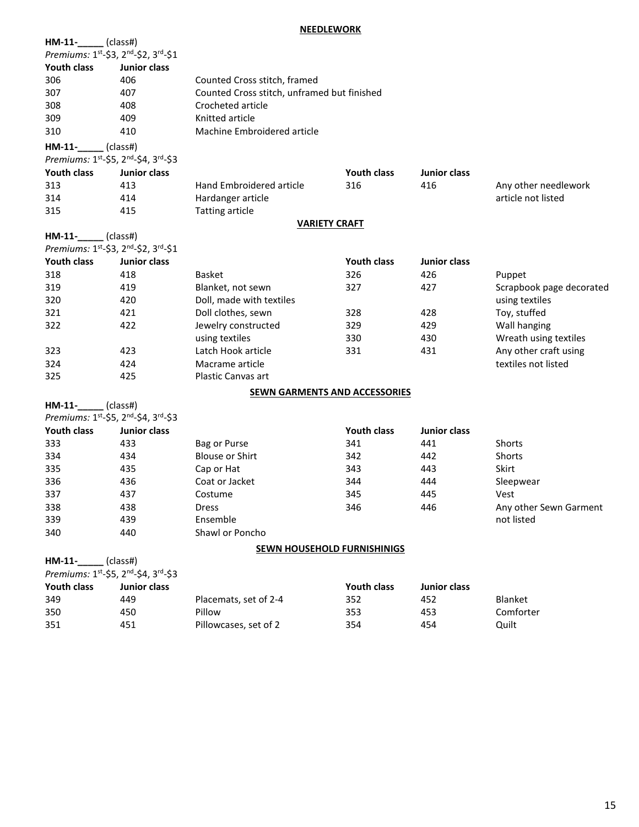#### **NEEDLEWORK**

| HM-11-                              | (class#)            |                                             |                    |                     |                          |
|-------------------------------------|---------------------|---------------------------------------------|--------------------|---------------------|--------------------------|
| Premiums: 1st-\$3, 2nd-\$2, 3rd-\$1 |                     |                                             |                    |                     |                          |
| <b>Youth class</b>                  | Junior class        |                                             |                    |                     |                          |
| 306                                 | 406                 | Counted Cross stitch, framed                |                    |                     |                          |
| 307                                 | 407                 | Counted Cross stitch, unframed but finished |                    |                     |                          |
| 308                                 | 408                 | Crocheted article                           |                    |                     |                          |
| 309                                 | 409                 | Knitted article                             |                    |                     |                          |
| 310                                 | 410                 | Machine Embroidered article                 |                    |                     |                          |
| $HM-11$ - $\_\_\_\_$ (class#)       |                     |                                             |                    |                     |                          |
| Premiums: 1st-\$5, 2nd-\$4, 3rd-\$3 |                     |                                             |                    |                     |                          |
| <b>Youth class</b>                  | Junior class        |                                             | <b>Youth class</b> | <b>Junior class</b> |                          |
| 313                                 | 413                 | Hand Embroidered article                    | 316                | 416                 | Any other needlework     |
| 314                                 | 414                 | Hardanger article                           |                    |                     | article not listed       |
| 315                                 | 415                 | <b>Tatting article</b>                      |                    |                     |                          |
|                                     |                     | <b>VARIETY CRAFT</b>                        |                    |                     |                          |
| $HM-11$ - $\_\_$ (class#)           |                     |                                             |                    |                     |                          |
| Premiums: 1st-\$3, 2nd-\$2, 3rd-\$1 |                     |                                             |                    |                     |                          |
| <b>Youth class</b>                  | <b>Junior class</b> |                                             | <b>Youth class</b> | <b>Junior class</b> |                          |
| 318                                 | 418                 | <b>Basket</b>                               | 326                | 426                 | Puppet                   |
| 319                                 | 419                 | Blanket, not sewn                           | 327                | 427                 | Scrapbook page decorated |
| 320                                 | 420                 | Doll, made with textiles                    |                    |                     | using textiles           |
| 321                                 | 421                 | Doll clothes, sewn                          | 328                | 428                 | Toy, stuffed             |
| 322                                 | 422                 | Jewelry constructed                         | 329                | 429                 | Wall hanging             |
|                                     |                     | using textiles                              | 330                | 430                 | Wreath using textiles    |
| 323                                 | 423                 | Latch Hook article                          | 331                | 431                 | Any other craft using    |
| 324                                 | 424                 | Macrame article                             |                    |                     | textiles not listed      |
| 325                                 | 425                 | Plastic Canvas art                          |                    |                     |                          |
|                                     |                     | <b>SEWN GARMENTS AND ACCESSORIES</b>        |                    |                     |                          |
| $HM-11$ - $\_\_$ (class#)           |                     |                                             |                    |                     |                          |
| Premiums: 1st-\$5, 2nd-\$4, 3rd-\$3 |                     |                                             |                    |                     |                          |
| <b>Youth class</b>                  | <b>Junior class</b> |                                             | Youth class        | <b>Junior class</b> |                          |
| 333                                 | 433                 | Bag or Purse                                | 341                | 441                 | Shorts                   |
| 334                                 | 434                 | <b>Blouse or Shirt</b>                      | 342                | 442                 | Shorts                   |
| 335                                 | 435                 | Cap or Hat                                  | 343                | 443                 | Skirt                    |
| 336                                 | 436                 | Coat or Jacket                              | 344                | 444                 | Sleepwear                |
| 337                                 | 437                 | Costume                                     | 345                | 445                 | Vest                     |
| 338                                 | 438                 | Dress                                       | 346                | 446                 | Any other Sewn Garment   |
| 339                                 | 439                 | Ensemble                                    |                    |                     | not listed               |
| 340                                 | 440                 | Shawl or Poncho                             |                    |                     |                          |
|                                     |                     | SEWN HOUSEHOLD FURNISHINIGS                 |                    |                     |                          |
| $HM-11$ - (class#)                  |                     |                                             |                    |                     |                          |
| Premiums: 1st-\$5, 2nd-\$4, 3rd-\$3 |                     |                                             |                    |                     |                          |
| Youth class                         | Junior class        |                                             | Youth class        | Junior class        |                          |
| 349                                 | 449                 | Placemats, set of 2-4                       | 352                | 452                 | Blanket                  |

| 349 | 449 | Placemats, set of 2-4 | 352 | 452 | <b>Blanket</b> |
|-----|-----|-----------------------|-----|-----|----------------|
| 350 | 450 | Pillow                | 353 | 453 | Comforter      |
| 351 | 451 | Pillowcases, set of 2 | 354 | 454 | Quilt          |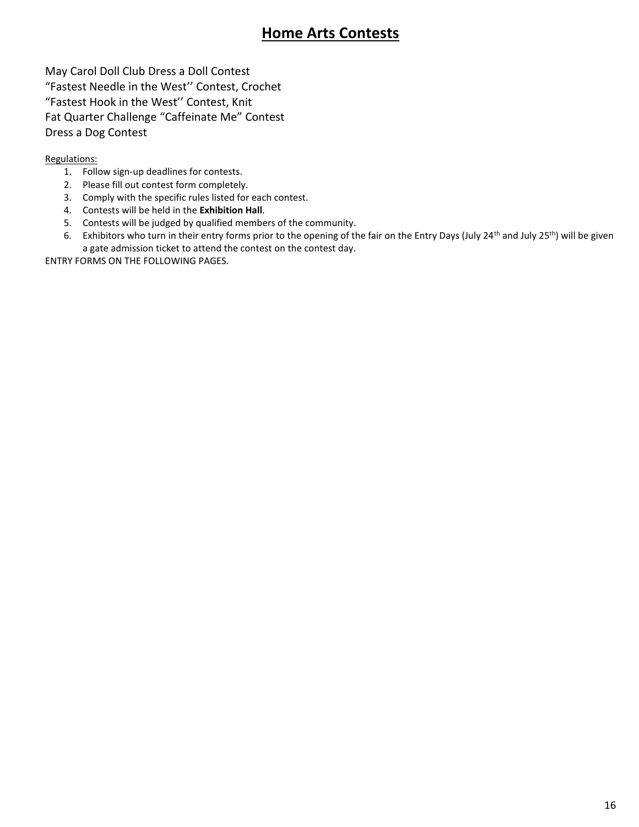## **Home Arts Contests**

May Carol Doll Club Dress a Doll Contest "Fastest Needle in the West'' Contest, Crochet "Fastest Hook in the West'' Contest, Knit Fat Quarter Challenge "Caffeinate Me" Contest Dress a Dog Contest

#### Regulations:

- 1. Follow sign-up deadlines for contests.
- 2. Please fill out contest form completely.
- 3. Comply with the specific rules listed for each contest.
- 4. Contests will be held in the **Exhibition Hall**.
- 5. Contests will be judged by qualified members of the community.
- 6. Exhibitors who turn in their entry forms prior to the opening of the fair on the Entry Days (July 24<sup>th</sup> and July 25<sup>th</sup>) will be given a gate admission ticket to attend the contest on the contest day.

ENTRY FORMS ON THE FOLLOWING PAGES.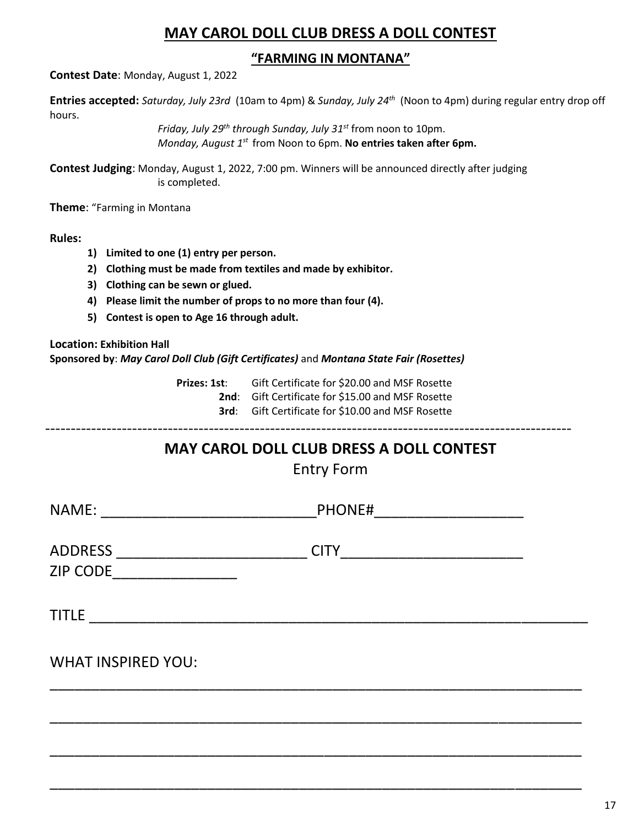### **MAY CAROL DOLL CLUB DRESS A DOLL CONTEST**

### **"FARMING IN MONTANA"**

**Contest Date**: Monday, August 1, 2022

**Entries accepted:** *Saturday, July 23rd* (10am to 4pm) & *Sunday, July 24th* (Noon to 4pm) during regular entry drop off hours.

> *Friday, July 29th through Sunday, July 31 st* from noon to 10pm. Monday, August 1<sup>st</sup> from Noon to 6pm. **No entries taken after 6pm.**

**Contest Judging**: Monday, August 1, 2022, 7:00 pm. Winners will be announced directly after judging is completed.

**Theme**: "Farming in Montana

**Rules:**

- **1) Limited to one (1) entry per person.**
- **2) Clothing must be made from textiles and made by exhibitor.**
- **3) Clothing can be sewn or glued.**
- **4) Please limit the number of props to no more than four (4).**
- **5) Contest is open to Age 16 through adult.**

**Location: Exhibition Hall Sponsored by**: *May Carol Doll Club (Gift Certificates)* and *Montana State Fair (Rosettes)*

> **Prizes: 1st**: Gift Certificate for \$20.00 and MSF Rosette **2nd**: Gift Certificate for \$15.00 and MSF Rosette **3rd**: Gift Certificate for \$10.00 and MSF Rosette

-------------------------------------------------------------------------------------------------------

# **MAY CAROL DOLL CLUB DRESS A DOLL CONTEST**

Entry Form

| NAME:<br><u> 1980 - Jan Stein Stein Stein Stein Stein Stein Stein Stein Stein Stein Stein Stein Stein Stein Stein Stein S</u> | PHONE#<br><u> 2000 - Jan Barnett, mars eta bat erroman erroman erroman erroman erroman erroman erroman erroman erroman err</u> |
|-------------------------------------------------------------------------------------------------------------------------------|--------------------------------------------------------------------------------------------------------------------------------|
| ADDRESS ________________________<br><b>ZIP CODE</b><br><u> 1986 - Jan Barbara, martin a</u>                                   | <b>CITY</b><br><u> 1989 - Johann John Stone, mars eta biztanleria (h. 1989).</u>                                               |
|                                                                                                                               |                                                                                                                                |
| <b>WHAT INSPIRED YOU:</b>                                                                                                     |                                                                                                                                |
|                                                                                                                               |                                                                                                                                |
|                                                                                                                               |                                                                                                                                |

\_\_\_\_\_\_\_\_\_\_\_\_\_\_\_\_\_\_\_\_\_\_\_\_\_\_\_\_\_\_\_\_\_\_\_\_\_\_\_\_\_\_\_\_\_\_\_\_\_\_\_\_\_\_\_\_\_\_\_\_\_\_\_\_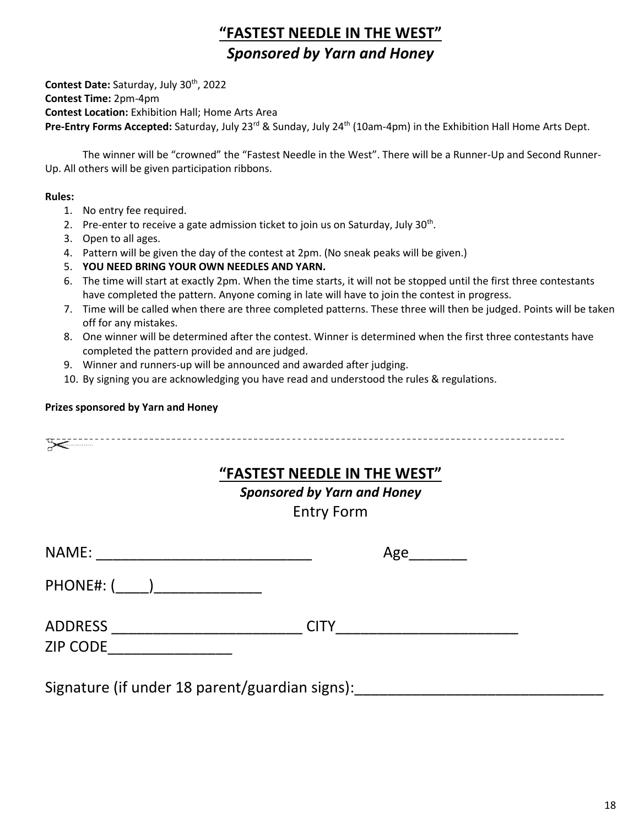# **"FASTEST NEEDLE IN THE WEST"** *Sponsored by Yarn and Honey*

**Contest Date:** Saturday, July 30th , 2022 **Contest Time:** 2pm-4pm **Contest Location:** Exhibition Hall; Home Arts Area Pre-Entry Forms Accepted: Saturday, July 23<sup>rd</sup> & Sunday, July 24<sup>th</sup> (10am-4pm) in the Exhibition Hall Home Arts Dept.

The winner will be "crowned" the "Fastest Needle in the West". There will be a Runner-Up and Second Runner-Up. All others will be given participation ribbons.

#### **Rules:**

- 1. No entry fee required.
- 2. Pre-enter to receive a gate admission ticket to join us on Saturday, July 30<sup>th</sup>.
- 3. Open to all ages.
- 4. Pattern will be given the day of the contest at 2pm. (No sneak peaks will be given.)
- 5. **YOU NEED BRING YOUR OWN NEEDLES AND YARN.**
- 6. The time will start at exactly 2pm. When the time starts, it will not be stopped until the first three contestants have completed the pattern. Anyone coming in late will have to join the contest in progress.
- 7. Time will be called when there are three completed patterns. These three will then be judged. Points will be taken off for any mistakes.
- 8. One winner will be determined after the contest. Winner is determined when the first three contestants have completed the pattern provided and are judged.
- 9. Winner and runners-up will be announced and awarded after judging.
- 10. By signing you are acknowledging you have read and understood the rules & regulations.

#### **Prizes sponsored by Yarn and Honey**

|                                                                 | "FASTEST NEEDLE IN THE WEST"<br><b>Sponsored by Yarn and Honey</b><br><b>Entry Form</b> |
|-----------------------------------------------------------------|-----------------------------------------------------------------------------------------|
| NAME:                                                           | Age                                                                                     |
| PHONE#: ( )                                                     |                                                                                         |
| ADDRESS __________________________<br>ZIP CODE_________________ | <b>CITY</b>                                                                             |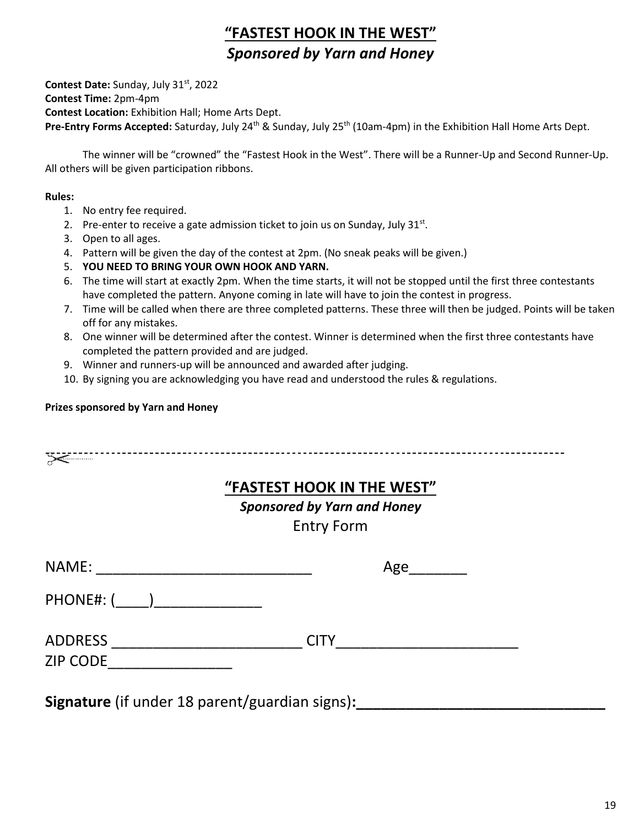# **"FASTEST HOOK IN THE WEST"** *Sponsored by Yarn and Honey*

**Contest Date:** Sunday, July 31st , 2022 **Contest Time:** 2pm-4pm **Contest Location:** Exhibition Hall; Home Arts Dept. Pre-Entry Forms Accepted: Saturday, July 24<sup>th</sup> & Sunday, July 25<sup>th</sup> (10am-4pm) in the Exhibition Hall Home Arts Dept.

The winner will be "crowned" the "Fastest Hook in the West". There will be a Runner-Up and Second Runner-Up. All others will be given participation ribbons.

#### **Rules:**

- 1. No entry fee required.
- 2. Pre-enter to receive a gate admission ticket to join us on Sunday, July  $31^{st}$ .
- 3. Open to all ages.
- 4. Pattern will be given the day of the contest at 2pm. (No sneak peaks will be given.)
- 5. **YOU NEED TO BRING YOUR OWN HOOK AND YARN.**
- 6. The time will start at exactly 2pm. When the time starts, it will not be stopped until the first three contestants have completed the pattern. Anyone coming in late will have to join the contest in progress.
- 7. Time will be called when there are three completed patterns. These three will then be judged. Points will be taken off for any mistakes.
- 8. One winner will be determined after the contest. Winner is determined when the first three contestants have completed the pattern provided and are judged.
- 9. Winner and runners-up will be announced and awarded after judging.
- 10. By signing you are acknowledging you have read and understood the rules & regulations.

#### **Prizes sponsored by Yarn and Honey**

|                                   | "FASTEST HOOK IN THE WEST"<br><b>Sponsored by Yarn and Honey</b><br><b>Entry Form</b> |
|-----------------------------------|---------------------------------------------------------------------------------------|
|                                   | Age                                                                                   |
| PHONE#: ( )                       |                                                                                       |
| <b>ADDRESS</b><br><b>ZIP CODE</b> | <b>CITY</b>                                                                           |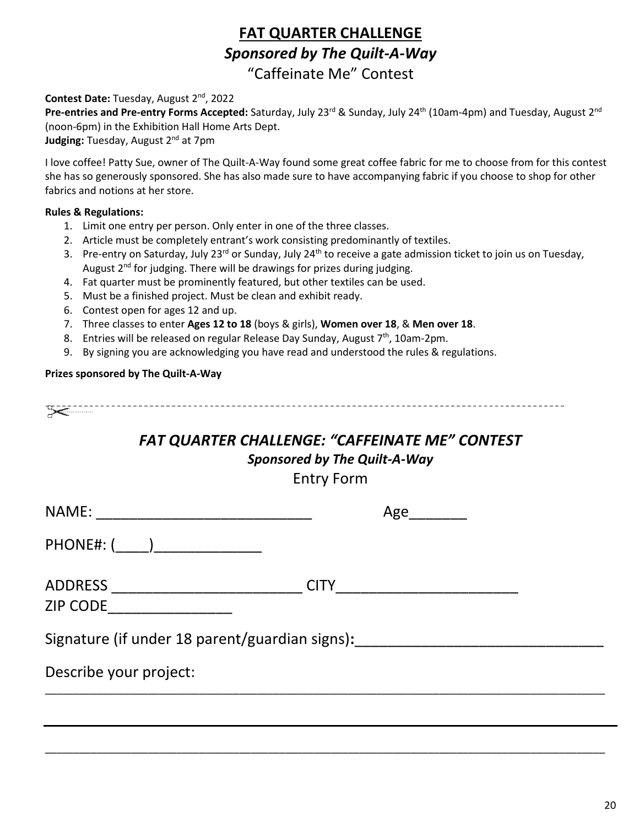## **FAT QUARTER CHALLENGE** *Sponsored by The Quilt-A-Way* "Caffeinate Me" Contest

#### **Contest Date:** Tuesday, August 2nd , 2022

**Pre-entries and Pre-entry Forms Accepted:** Saturday, July 23<sup>rd</sup> & Sunday, July 24<sup>th</sup> (10am-4pm) and Tuesday, August 2<sup>nd</sup> (noon-6pm) in the Exhibition Hall Home Arts Dept.

Judging: Tuesday, August 2<sup>nd</sup> at 7pm

I love coffee! Patty Sue, owner of The Quilt-A-Way found some great coffee fabric for me to choose from for this contest she has so generously sponsored. She has also made sure to have accompanying fabric if you choose to shop for other fabrics and notions at her store.

#### **Rules & Regulations:**

- 1. Limit one entry per person. Only enter in one of the three classes.
- 2. Article must be completely entrant's work consisting predominantly of textiles.
- 3. Pre-entry on Saturday, July 23<sup>rd</sup> or Sunday, July 24<sup>th</sup> to receive a gate admission ticket to join us on Tuesday, August  $2^{nd}$  for judging. There will be drawings for prizes during judging.
- 4. Fat quarter must be prominently featured, but other textiles can be used.
- 5. Must be a finished project. Must be clean and exhibit ready.
- 6. Contest open for ages 12 and up.
- 7. Three classes to enter **Ages 12 to 18** (boys & girls), **Women over 18**, & **Men over 18**.
- 8. Entries will be released on regular Release Day Sunday, August 7<sup>th</sup>, 10am-2pm.
- 9. By signing you are acknowledging you have read and understood the rules & regulations.

#### **Prizes sponsored by The Quilt-A-Way**

# *FAT QUARTER CHALLENGE: "CAFFEINATE ME" CONTEST*

### *Sponsored by The Quilt-A-Way*

Entry Form

| NAME:                                          |             | Age |  |
|------------------------------------------------|-------------|-----|--|
|                                                |             |     |  |
| ADDRESS<br><b>ZIP CODE</b>                     | <b>CITY</b> |     |  |
| Signature (if under 18 parent/guardian signs): |             |     |  |
| Describe your project:                         |             |     |  |
|                                                |             |     |  |
|                                                |             |     |  |

\_\_\_\_\_\_\_\_\_\_\_\_\_\_\_\_\_\_\_\_\_\_\_\_\_\_\_\_\_\_\_\_\_\_\_\_\_\_\_\_\_\_\_\_\_\_\_\_\_\_\_\_\_\_\_\_\_\_\_\_\_\_\_\_\_\_\_\_\_\_\_\_\_\_\_\_\_\_\_\_\_\_\_\_\_\_\_\_\_\_\_\_\_\_\_\_\_\_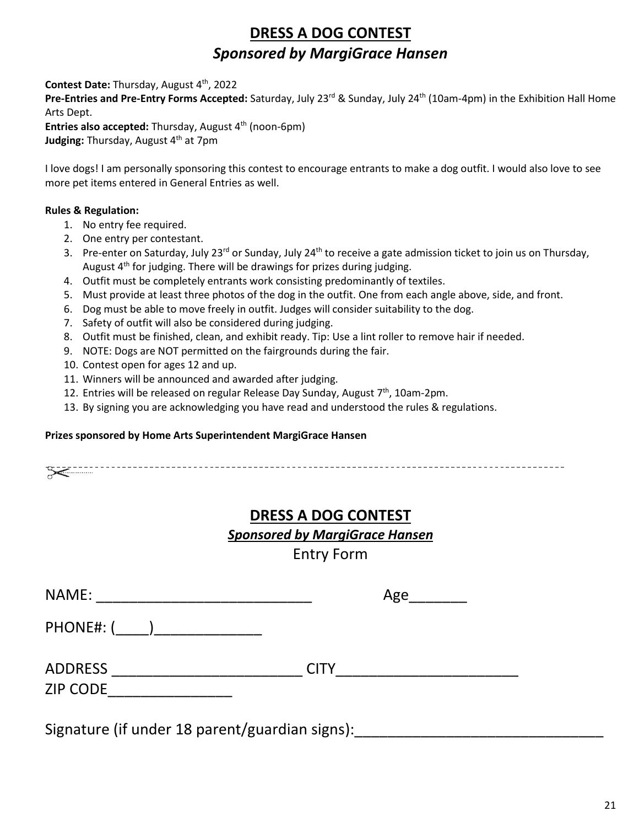# **DRESS A DOG CONTEST** *Sponsored by MargiGrace Hansen*

Contest Date: Thursday, August 4<sup>th</sup>, 2022

Pre-Entries and Pre-Entry Forms Accepted: Saturday, July 23<sup>rd</sup> & Sunday, July 24<sup>th</sup> (10am-4pm) in the Exhibition Hall Home Arts Dept.

**Entries also accepted:** Thursday, August 4<sup>th</sup> (noon-6pm) **Judging:** Thursday, August 4<sup>th</sup> at 7pm

I love dogs! I am personally sponsoring this contest to encourage entrants to make a dog outfit. I would also love to see more pet items entered in General Entries as well.

### **Rules & Regulation:**

- 1. No entry fee required.
- 2. One entry per contestant.
- 3. Pre-enter on Saturday, July 23<sup>rd</sup> or Sunday, July 24<sup>th</sup> to receive a gate admission ticket to join us on Thursday, August  $4<sup>th</sup>$  for judging. There will be drawings for prizes during judging.
- 4. Outfit must be completely entrants work consisting predominantly of textiles.
- 5. Must provide at least three photos of the dog in the outfit. One from each angle above, side, and front.
- 6. Dog must be able to move freely in outfit. Judges will consider suitability to the dog.
- 7. Safety of outfit will also be considered during judging.
- 8. Outfit must be finished, clean, and exhibit ready. Tip: Use a lint roller to remove hair if needed.
- 9. NOTE: Dogs are NOT permitted on the fairgrounds during the fair.
- 10. Contest open for ages 12 and up.
- 11. Winners will be announced and awarded after judging.
- 12. Entries will be released on regular Release Day Sunday, August  $7<sup>th</sup>$ , 10am-2pm.
- 13. By signing you are acknowledging you have read and understood the rules & regulations.

#### **Prizes sponsored by Home Arts Superintendent MargiGrace Hansen**

### **DRESS A DOG CONTEST**

### *Sponsored by MargiGrace Hansen*

Entry Form

| NAME:           | Age         |  |
|-----------------|-------------|--|
| PHONE#: (       |             |  |
| <b>ADDRESS</b>  | <b>CITY</b> |  |
| <b>ZIP CODE</b> |             |  |
|                 |             |  |

Signature (if under 18 parent/guardian signs):